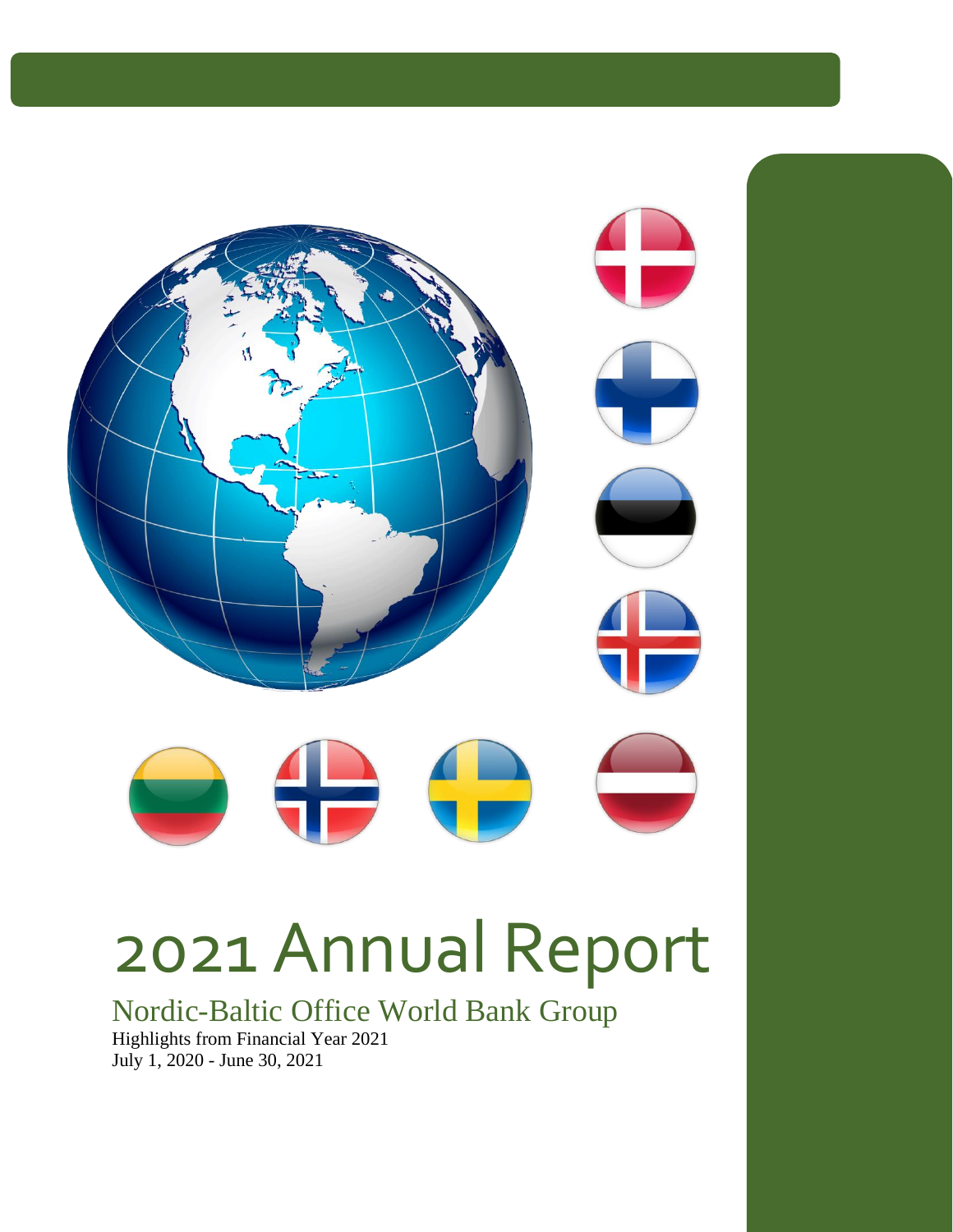

# 2021 Annual Report

Nordic-Baltic Office World Bank Group Highlights from Financial Year 2021 July 1, 2020 - June 30, 2021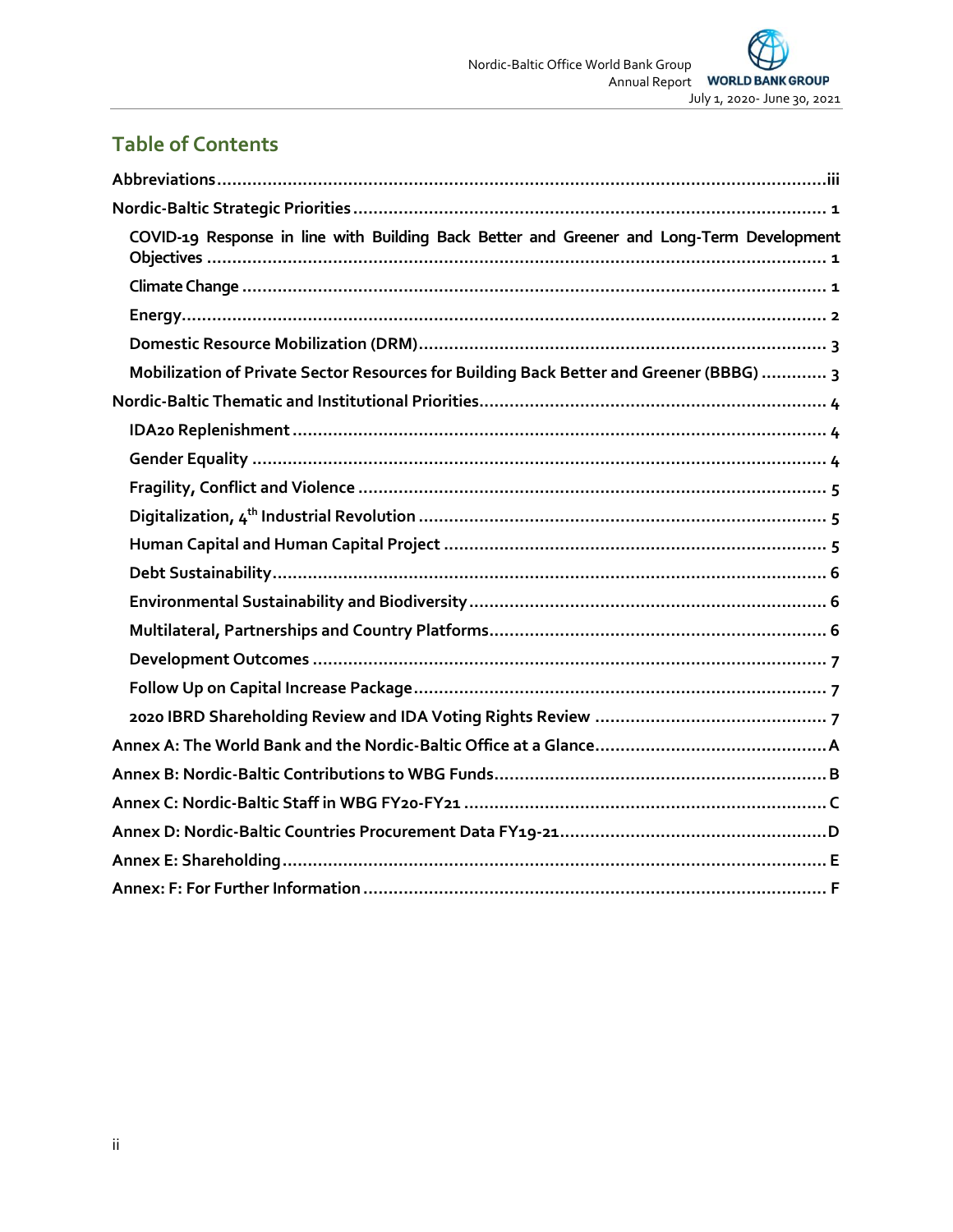# **Table of Contents**

| COVID-19 Response in line with Building Back Better and Greener and Long-Term Development |
|-------------------------------------------------------------------------------------------|
|                                                                                           |
|                                                                                           |
|                                                                                           |
| Mobilization of Private Sector Resources for Building Back Better and Greener (BBBG)  3   |
|                                                                                           |
|                                                                                           |
|                                                                                           |
|                                                                                           |
|                                                                                           |
|                                                                                           |
|                                                                                           |
|                                                                                           |
|                                                                                           |
|                                                                                           |
|                                                                                           |
|                                                                                           |
|                                                                                           |
|                                                                                           |
|                                                                                           |
|                                                                                           |
|                                                                                           |
|                                                                                           |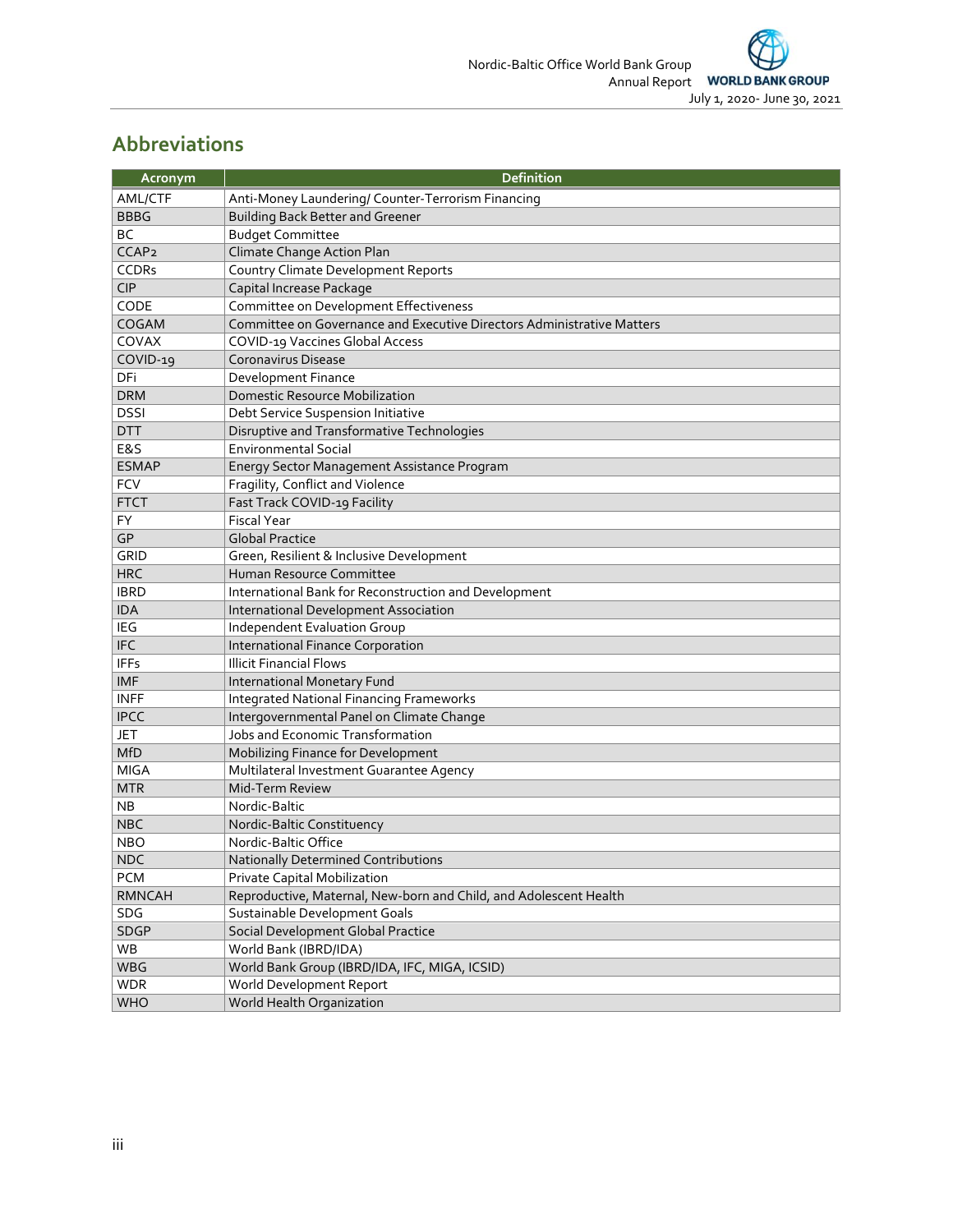#### <span id="page-2-0"></span>**Abbreviations**

| Acronym           | <b>Definition</b>                                                      |
|-------------------|------------------------------------------------------------------------|
| AML/CTF           | Anti-Money Laundering/ Counter-Terrorism Financing                     |
| <b>BBBG</b>       | <b>Building Back Better and Greener</b>                                |
| <b>BC</b>         | <b>Budget Committee</b>                                                |
| CCAP <sub>2</sub> | Climate Change Action Plan                                             |
| <b>CCDRs</b>      | Country Climate Development Reports                                    |
| <b>CIP</b>        | Capital Increase Package                                               |
| CODE              | Committee on Development Effectiveness                                 |
| COGAM             | Committee on Governance and Executive Directors Administrative Matters |
| COVAX             | COVID-19 Vaccines Global Access                                        |
| COVID-19          | Coronavirus Disease                                                    |
| DFi               | Development Finance                                                    |
| <b>DRM</b>        | <b>Domestic Resource Mobilization</b>                                  |
| <b>DSSI</b>       | Debt Service Suspension Initiative                                     |
| <b>DTT</b>        | Disruptive and Transformative Technologies                             |
| E&S               | <b>Environmental Social</b>                                            |
| <b>ESMAP</b>      | Energy Sector Management Assistance Program                            |
| <b>FCV</b>        | Fragility, Conflict and Violence                                       |
| <b>FTCT</b>       | Fast Track COVID-19 Facility                                           |
| FY                | <b>Fiscal Year</b>                                                     |
| GP                | <b>Global Practice</b>                                                 |
| <b>GRID</b>       | Green, Resilient & Inclusive Development                               |
| <b>HRC</b>        | Human Resource Committee                                               |
| <b>IBRD</b>       | International Bank for Reconstruction and Development                  |
| <b>IDA</b>        | International Development Association                                  |
| IEG               | Independent Evaluation Group                                           |
| <b>IFC</b>        | International Finance Corporation                                      |
| <b>IFFs</b>       | <b>Illicit Financial Flows</b>                                         |
| <b>IMF</b>        | <b>International Monetary Fund</b>                                     |
| <b>INFF</b>       | <b>Integrated National Financing Frameworks</b>                        |
| <b>IPCC</b>       | Intergovernmental Panel on Climate Change                              |
| JET               | Jobs and Economic Transformation                                       |
| <b>MfD</b>        | Mobilizing Finance for Development                                     |
| <b>MIGA</b>       | Multilateral Investment Guarantee Agency                               |
| <b>MTR</b>        | Mid-Term Review                                                        |
| ΝB                | Nordic-Baltic                                                          |
| <b>NBC</b>        | Nordic-Baltic Constituency                                             |
| <b>NBO</b>        | Nordic-Baltic Office                                                   |
| <b>NDC</b>        | Nationally Determined Contributions                                    |
| <b>PCM</b>        | Private Capital Mobilization                                           |
| <b>RMNCAH</b>     | Reproductive, Maternal, New-born and Child, and Adolescent Health      |
| SDG               | Sustainable Development Goals                                          |
| SDGP              | Social Development Global Practice                                     |
| WB                | World Bank (IBRD/IDA)                                                  |
| WBG               | World Bank Group (IBRD/IDA, IFC, MIGA, ICSID)                          |
| <b>WDR</b>        | World Development Report                                               |
| WHO               | World Health Organization                                              |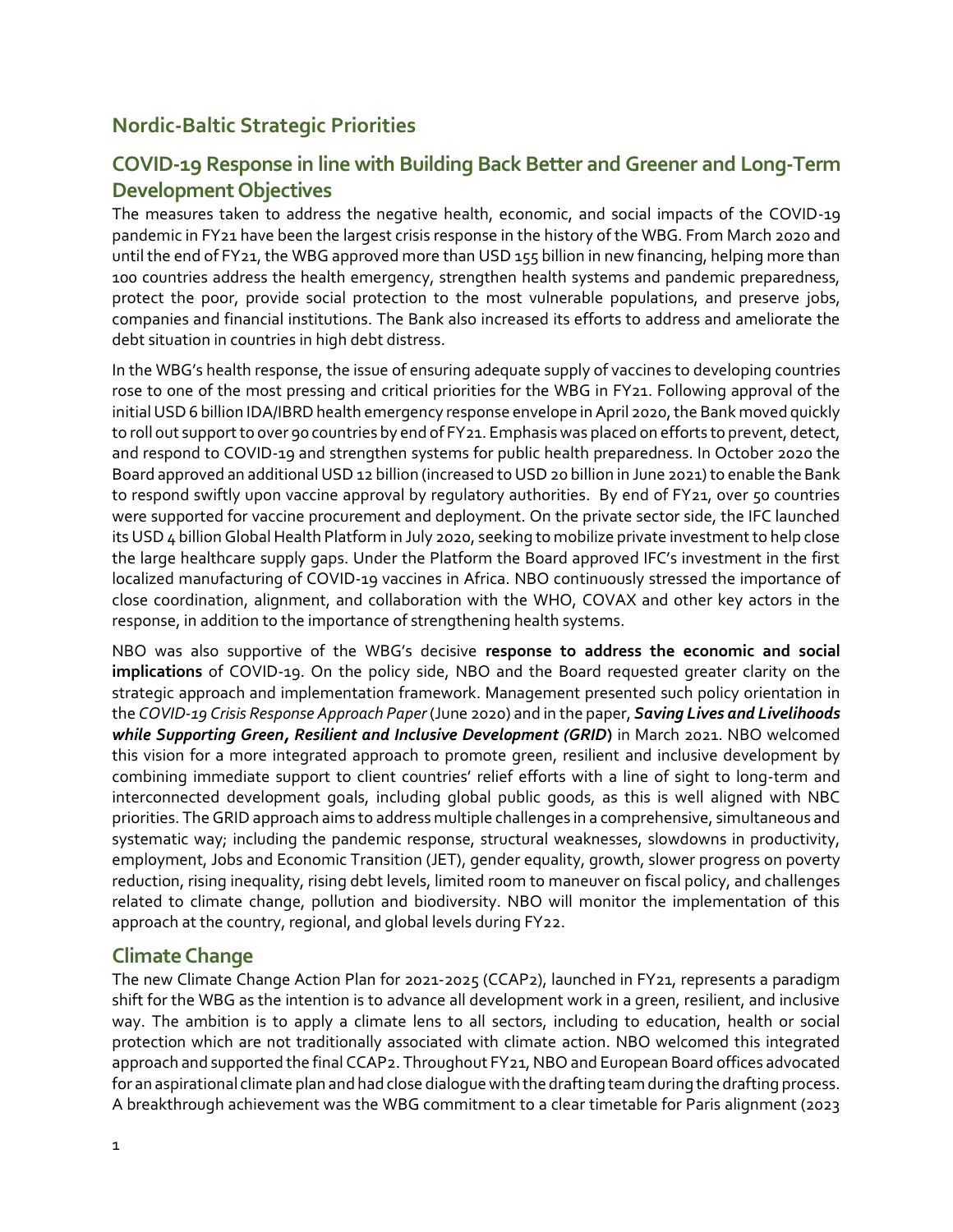#### <span id="page-3-0"></span>**Nordic-Baltic Strategic Priorities**

#### <span id="page-3-1"></span>**COVID-19 Response in line with Building Back Better and Greener and Long-Term Development Objectives**

The measures taken to address the negative health, economic, and social impacts of the COVID-19 pandemic in FY21 have been the largest crisis response in the history of the WBG. From March 2020 and until the end of FY21, the WBG approved more than USD 155 billion in new financing, helping more than 100 countries address the health emergency, strengthen health systems and pandemic preparedness, protect the poor, provide social protection to the most vulnerable populations, and preserve jobs, companies and financial institutions. The Bank also increased its efforts to address and ameliorate the debt situation in countries in high debt distress.

In the WBG's health response, the issue of ensuring adequate supply of vaccines to developing countries rose to one of the most pressing and critical priorities for the WBG in FY21. Following approval of the initial USD 6 billion IDA/IBRD health emergency response envelope in April 2020, the Bank moved quickly to roll out support to over 90 countries by end of FY21. Emphasis was placed on efforts to prevent, detect, and respond to COVID-19 and strengthen systems for public health preparedness. In October 2020 the Board approved an additional USD 12 billion (increased to USD 20 billion in June 2021) to enable the Bank to respond swiftly upon vaccine approval by regulatory authorities. By end of FY21, over 50 countries were supported for vaccine procurement and deployment. On the private sector side, the IFC launched its USD 4 billion Global Health Platform in July 2020, seeking to mobilize private investment to help close the large healthcare supply gaps. Under the Platform the Board approved IFC's investment in the first localized manufacturing of COVID-19 vaccines in Africa. NBO continuously stressed the importance of close coordination, alignment, and collaboration with the WHO, COVAX and other key actors in the response, in addition to the importance of strengthening health systems.

NBO was also supportive of the WBG's decisive **response to address the economic and social implications** of COVID-19. On the policy side, NBO and the Board requested greater clarity on the strategic approach and implementation framework. Management presented such policy orientation in the *COVID-19 Crisis Response Approach Paper* (June 2020) and in the paper, *Saving Lives and Livelihoods while Supporting Green, Resilient and Inclusive Development (GRID***)** in March 2021. NBO welcomed this vision for a more integrated approach to promote green, resilient and inclusive development by combining immediate support to client countries' relief efforts with a line of sight to long-term and interconnected development goals, including global public goods, as this is well aligned with NBC priorities. The GRID approach aims to address multiple challenges in a comprehensive, simultaneous and systematic way; including the pandemic response, structural weaknesses, slowdowns in productivity, employment, Jobs and Economic Transition (JET), gender equality, growth, slower progress on poverty reduction, rising inequality, rising debt levels, limited room to maneuver on fiscal policy, and challenges related to climate change, pollution and biodiversity. NBO will monitor the implementation of this approach at the country, regional, and global levels during FY22.

#### <span id="page-3-2"></span>**Climate Change**

The new Climate Change Action Plan for 2021-2025 (CCAP2), launched in FY21, represents a paradigm shift for the WBG as the intention is to advance all development work in a green, resilient, and inclusive way. The ambition is to apply a climate lens to all sectors, including to education, health or social protection which are not traditionally associated with climate action. NBO welcomed this integrated approach and supported the final CCAP2. Throughout FY21, NBO and European Board offices advocated for an aspirational climate plan and had close dialogue with the drafting team during the drafting process. A breakthrough achievement was the WBG commitment to a clear timetable for Paris alignment (2023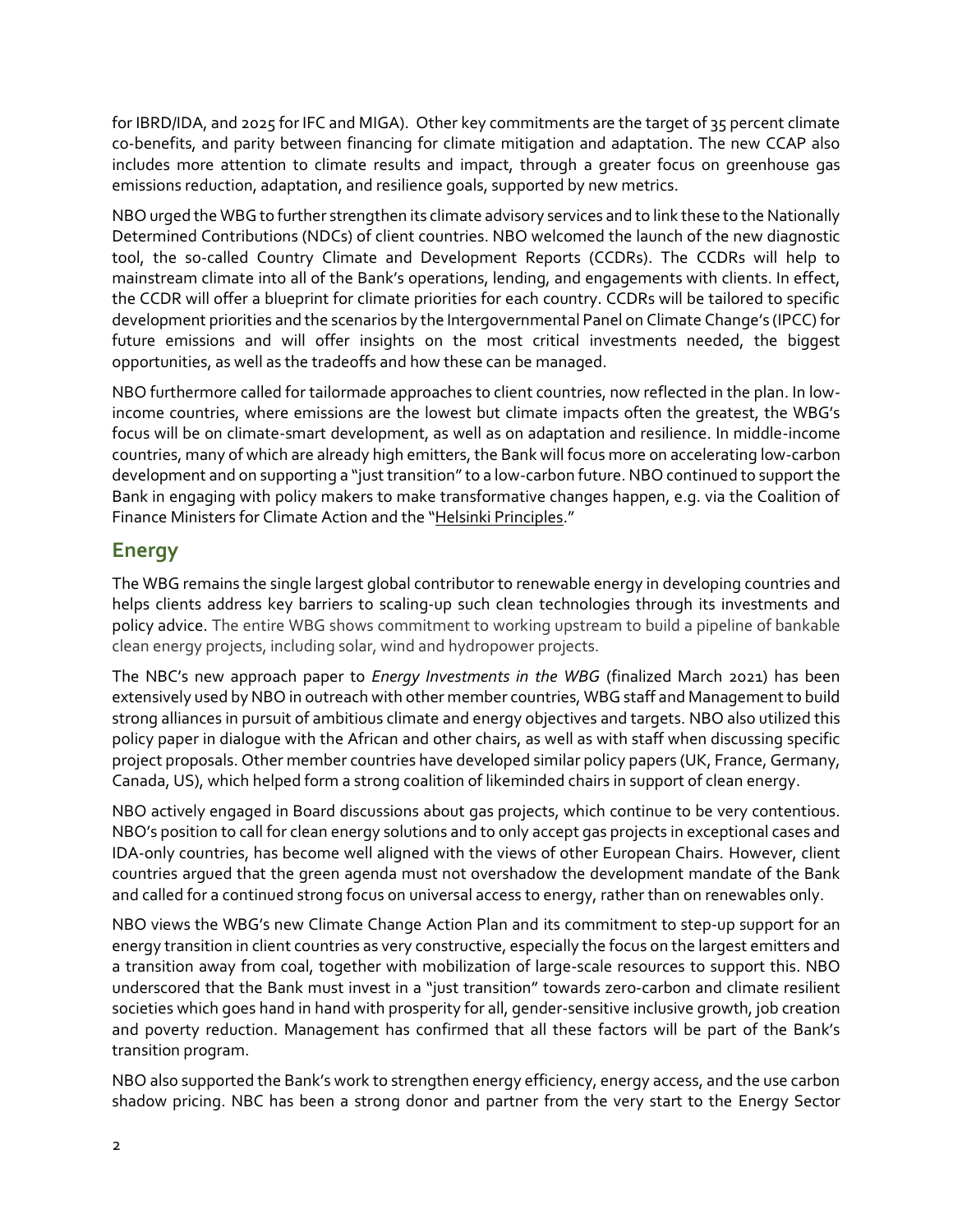for IBRD/IDA, and 2025 for IFC and MIGA). Other key commitments are the target of 35 percent climate co-benefits, and parity between financing for climate mitigation and adaptation. The new CCAP also includes more attention to climate results and impact, through a greater focus on greenhouse gas emissions reduction, adaptation, and resilience goals, supported by new metrics.

NBO urged the WBG to further strengthen its climate advisory services and to link these to the Nationally Determined Contributions (NDCs) of client countries. NBO welcomed the launch of the new diagnostic tool, the so-called Country Climate and Development Reports (CCDRs). The CCDRs will help to mainstream climate into all of the Bank's operations, lending, and engagements with clients. In effect, the CCDR will offer a blueprint for climate priorities for each country. CCDRs will be tailored to specific development priorities and the scenarios by the Intergovernmental Panel on Climate Change's (IPCC) for future emissions and will offer insights on the most critical investments needed, the biggest opportunities, as well as the tradeoffs and how these can be managed.

NBO furthermore called for tailormade approaches to client countries, now reflected in the plan. In lowincome countries, where emissions are the lowest but climate impacts often the greatest, the WBG's focus will be on climate-smart development, as well as on adaptation and resilience. In middle-income countries, many of which are already high emitters, the Bank will focus more on accelerating low-carbon development and on supporting a "just transition" to a low-carbon future. NBO continued to support the Bank in engaging with policy makers to make transformative changes happen, e.g. via the Coalition of Finance Ministers for Climate Action and the "[Helsinki Principles](http://pubdocs.worldbank.org/en/600041555089009395/FM-Coalition-Principles-final-v3.pdf)."

#### <span id="page-4-0"></span>**Energy**

The WBG remains the single largest global contributor to renewable energy in developing countries and helps clients address key barriers to scaling-up such clean technologies through its investments and policy advice. The entire WBG shows commitment to working upstream to build a pipeline of bankable clean energy projects, including solar, wind and hydropower projects.

The NBC's new approach paper to *Energy Investments in the WBG* (finalized March 2021) has been extensively used by NBO in outreach with other member countries, WBG staff and Management to build strong alliances in pursuit of ambitious climate and energy objectives and targets. NBO also utilized this policy paper in dialogue with the African and other chairs, as well as with staff when discussing specific project proposals. Other member countries have developed similar policy papers (UK, France, Germany, Canada, US), which helped form a strong coalition of likeminded chairs in support of clean energy.

NBO actively engaged in Board discussions about gas projects, which continue to be very contentious. NBO's position to call for clean energy solutions and to only accept gas projects in exceptional cases and IDA-only countries, has become well aligned with the views of other European Chairs. However, client countries argued that the green agenda must not overshadow the development mandate of the Bank and called for a continued strong focus on universal access to energy, rather than on renewables only.

NBO views the WBG's new Climate Change Action Plan and its commitment to step-up support for an energy transition in client countries as very constructive, especially the focus on the largest emitters and a transition away from coal, together with mobilization of large-scale resources to support this. NBO underscored that the Bank must invest in a "just transition" towards zero-carbon and climate resilient societies which goes hand in hand with prosperity for all, gender-sensitive inclusive growth, job creation and poverty reduction. Management has confirmed that all these factors will be part of the Bank's transition program.

NBO also supported the Bank's work to strengthen energy efficiency, energy access, and the use carbon shadow pricing. NBC has been a strong donor and partner from the very start to the Energy Sector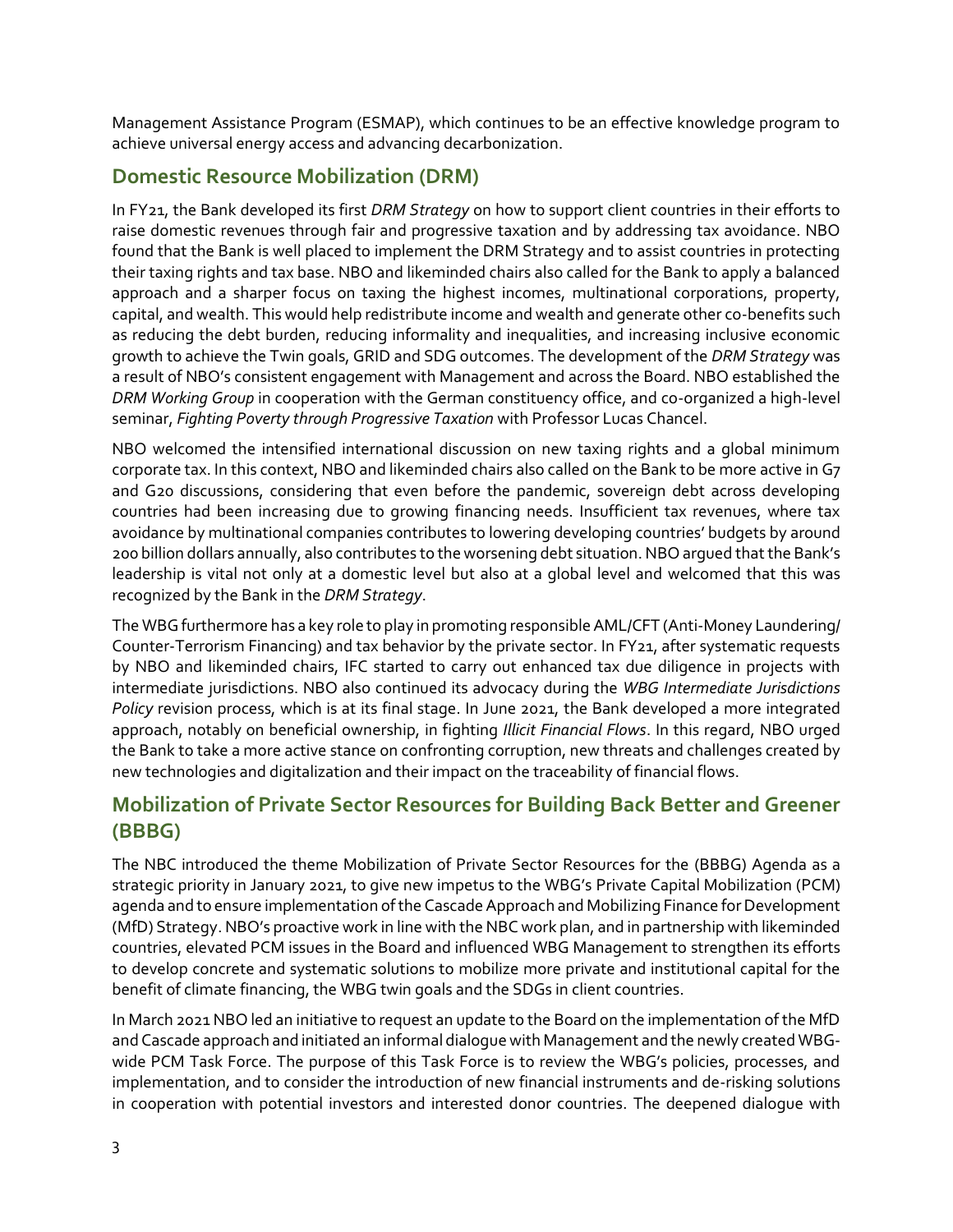Management Assistance Program (ESMAP), which continues to be an effective knowledge program to achieve universal energy access and advancing decarbonization.

#### <span id="page-5-0"></span>**Domestic Resource Mobilization (DRM)**

In FY21, the Bank developed its first *DRM Strategy* on how to support client countries in their efforts to raise domestic revenues through fair and progressive taxation and by addressing tax avoidance. NBO found that the Bank is well placed to implement the DRM Strategy and to assist countries in protecting their taxing rights and tax base. NBO and likeminded chairs also called for the Bank to apply a balanced approach and a sharper focus on taxing the highest incomes, multinational corporations, property, capital, and wealth. This would help redistribute income and wealth and generate other co-benefits such as reducing the debt burden, reducing informality and inequalities, and increasing inclusive economic growth to achieve the Twin goals, GRID and SDG outcomes. The development of the *DRM Strategy* was a result of NBO's consistent engagement with Management and across the Board. NBO established the *DRM Working Group* in cooperation with the German constituency office, and co-organized a high-level seminar, *Fighting Poverty through Progressive Taxation* with Professor Lucas Chancel.

NBO welcomed the intensified international discussion on new taxing rights and a global minimum corporate tax. In this context, NBO and likeminded chairs also called on the Bank to be more active in G7 and G20 discussions, considering that even before the pandemic, sovereign debt across developing countries had been increasing due to growing financing needs. Insufficient tax revenues, where tax avoidance by multinational companies contributes to lowering developing countries' budgets by around 200 billion dollars annually, also contributes to the worsening debt situation. NBO argued that the Bank's leadership is vital not only at a domestic level but also at a global level and welcomed that this was recognized by the Bank in the *DRM Strategy*.

The WBG furthermore has a key role to play in promoting responsible AML/CFT (Anti-Money Laundering/ Counter-Terrorism Financing) and tax behavior by the private sector. In FY21, after systematic requests by NBO and likeminded chairs, IFC started to carry out enhanced tax due diligence in projects with intermediate jurisdictions. NBO also continued its advocacy during the *WBG Intermediate Jurisdictions Policy* revision process, which is at its final stage. In June 2021, the Bank developed a more integrated approach, notably on beneficial ownership, in fighting *Illicit Financial Flows*. In this regard, NBO urged the Bank to take a more active stance on confronting corruption, new threats and challenges created by new technologies and digitalization and their impact on the traceability of financial flows.

#### <span id="page-5-1"></span>**Mobilization of Private Sector Resources for Building Back Better and Greener (BBBG)**

The NBC introduced the theme Mobilization of Private Sector Resources for the (BBBG) Agenda as a strategic priority in January 2021, to give new impetus to the WBG's Private Capital Mobilization (PCM) agenda and to ensure implementation of the Cascade Approach and Mobilizing Finance for Development (MfD) Strategy. NBO's proactive work in line with the NBC work plan, and in partnership with likeminded countries, elevated PCM issues in the Board and influenced WBG Management to strengthen its efforts to develop concrete and systematic solutions to mobilize more private and institutional capital for the benefit of climate financing, the WBG twin goals and the SDGs in client countries.

In March 2021 NBO led an initiative to request an update to the Board on the implementation of the MfD and Cascade approach and initiated an informal dialogue with Management and the newly created WBGwide PCM Task Force. The purpose of this Task Force is to review the WBG's policies, processes, and implementation, and to consider the introduction of new financial instruments and de-risking solutions in cooperation with potential investors and interested donor countries. The deepened dialogue with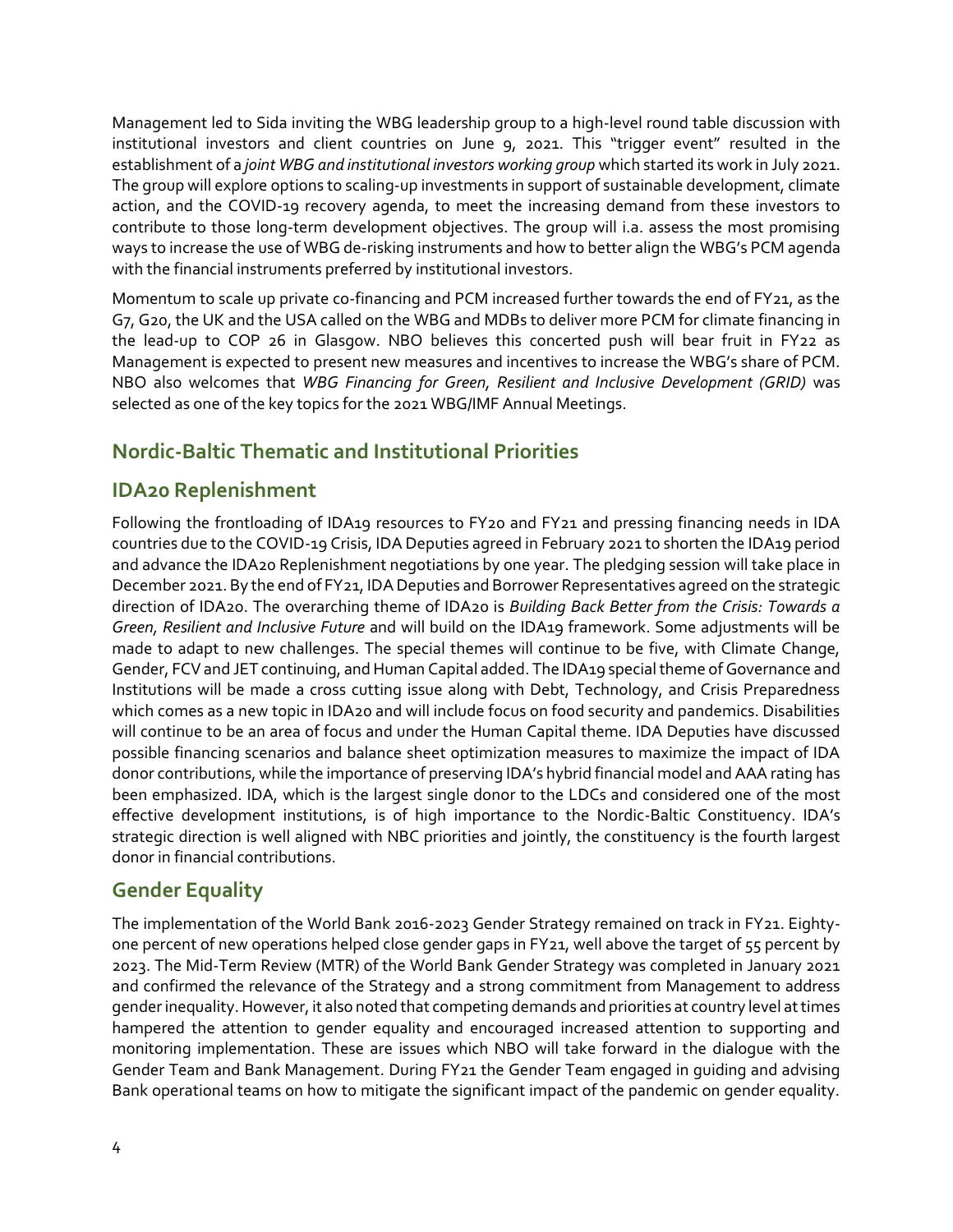Management led to Sida inviting the WBG leadership group to a high-level round table discussion with institutional investors and client countries on June 9, 2021. This "trigger event" resulted in the establishment of a *joint WBG and institutional investors working group* which started its work in July 2021. The group will explore options to scaling-up investments in support of sustainable development, climate action, and the COVID-19 recovery agenda, to meet the increasing demand from these investors to contribute to those long-term development objectives. The group will i.a. assess the most promising ways to increase the use of WBG de-risking instruments and how to better align the WBG's PCM agenda with the financial instruments preferred by institutional investors.

Momentum to scale up private co-financing and PCM increased further towards the end of FY21, as the G7, G20, the UK and the USA called on the WBG and MDBs to deliver more PCM for climate financing in the lead-up to COP 26 in Glasgow. NBO believes this concerted push will bear fruit in FY22 as Management is expected to present new measures and incentives to increase the WBG's share of PCM. NBO also welcomes that *WBG Financing for Green, Resilient and Inclusive Development (GRID)* was selected as one of the key topics for the 2021 WBG/IMF Annual Meetings.

#### <span id="page-6-0"></span>**Nordic-Baltic Thematic and Institutional Priorities**

### <span id="page-6-1"></span>**IDA20 Replenishment**

Following the frontloading of IDA19 resources to FY20 and FY21 and pressing financing needs in IDA countries due to the COVID-19 Crisis, IDA Deputies agreed in February 2021 to shorten the IDA19 period and advance the IDA20 Replenishment negotiations by one year. The pledging session will take place in December 2021. By the end of FY21, IDA Deputies and Borrower Representatives agreed on the strategic direction of IDA20. The overarching theme of IDA20 is *Building Back Better from the Crisis: Towards a Green, Resilient and Inclusive Future* and will build on the IDA19 framework. Some adjustments will be made to adapt to new challenges. The special themes will continue to be five, with Climate Change, Gender, FCV and JET continuing, and Human Capital added. The IDA19 special theme of Governance and Institutions will be made a cross cutting issue along with Debt, Technology, and Crisis Preparedness which comes as a new topic in IDA20 and will include focus on food security and pandemics. Disabilities will continue to be an area of focus and under the Human Capital theme. IDA Deputies have discussed possible financing scenarios and balance sheet optimization measures to maximize the impact of IDA donor contributions, while the importance of preserving IDA's hybrid financial model and AAA rating has been emphasized. IDA, which is the largest single donor to the LDCs and considered one of the most effective development institutions, is of high importance to the Nordic-Baltic Constituency. IDA's strategic direction is well aligned with NBC priorities and jointly, the constituency is the fourth largest donor in financial contributions.

#### <span id="page-6-2"></span>**Gender Equality**

The implementation of the World Bank 2016-2023 Gender Strategy remained on track in FY21. Eightyone percent of new operations helped close gender gaps in FY21, well above the target of 55 percent by 2023. The Mid-Term Review (MTR) of the World Bank Gender Strategy was completed in January 2021 and confirmed the relevance of the Strategy and a strong commitment from Management to address gender inequality. However, it also noted that competing demands and priorities at country level at times hampered the attention to gender equality and encouraged increased attention to supporting and monitoring implementation. These are issues which NBO will take forward in the dialogue with the Gender Team and Bank Management. During FY21 the Gender Team engaged in guiding and advising Bank operational teams on how to mitigate the significant impact of the pandemic on gender equality.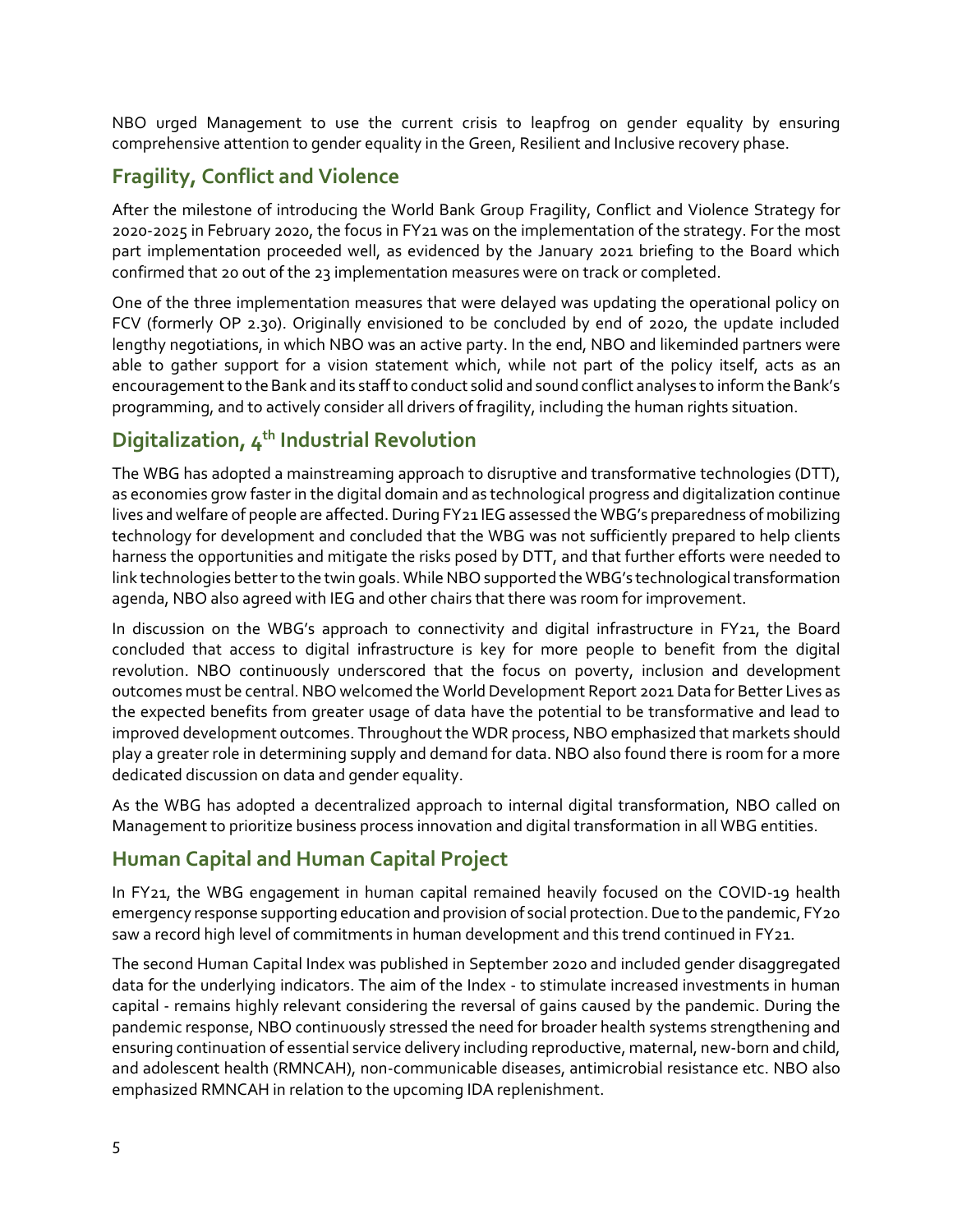NBO urged Management to use the current crisis to leapfrog on gender equality by ensuring comprehensive attention to gender equality in the Green, Resilient and Inclusive recovery phase.

## <span id="page-7-0"></span>**Fragility, Conflict and Violence**

After the milestone of introducing the World Bank Group Fragility, Conflict and Violence Strategy for 2020-2025 in February 2020, the focus in FY21 was on the implementation of the strategy. For the most part implementation proceeded well, as evidenced by the January 2021 briefing to the Board which confirmed that 20 out of the 23 implementation measures were on track or completed.

One of the three implementation measures that were delayed was updating the operational policy on FCV (formerly OP 2.30). Originally envisioned to be concluded by end of 2020, the update included lengthy negotiations, in which NBO was an active party. In the end, NBO and likeminded partners were able to gather support for a vision statement which, while not part of the policy itself, acts as an encouragement to the Bank and its staff to conduct solid and sound conflict analyses to inform the Bank's programming, and to actively consider all drivers of fragility, including the human rights situation.

#### <span id="page-7-1"></span>**Digitalization, 4th Industrial Revolution**

The WBG has adopted a mainstreaming approach to disruptive and transformative technologies (DTT), as economies grow faster in the digital domain and as technological progress and digitalization continue lives and welfare of people are affected. During FY21 IEG assessed the WBG's preparedness of mobilizing technology for development and concluded that the WBG was not sufficiently prepared to help clients harness the opportunities and mitigate the risks posed by DTT, and that further efforts were needed to link technologies better to the twin goals. While NBO supported the WBG's technological transformation agenda, NBO also agreed with IEG and other chairs that there was room for improvement.

In discussion on the WBG's approach to connectivity and digital infrastructure in FY21, the Board concluded that access to digital infrastructure is key for more people to benefit from the digital revolution. NBO continuously underscored that the focus on poverty, inclusion and development outcomes must be central. NBO welcomed the World Development Report 2021 Data for Better Lives as the expected benefits from greater usage of data have the potential to be transformative and lead to improved development outcomes. Throughout the WDR process, NBO emphasized that markets should play a greater role in determining supply and demand for data. NBO also found there is room for a more dedicated discussion on data and gender equality.

As the WBG has adopted a decentralized approach to internal digital transformation, NBO called on Management to prioritize business process innovation and digital transformation in all WBG entities.

#### <span id="page-7-2"></span>**Human Capital and Human Capital Project**

In FY21, the WBG engagement in human capital remained heavily focused on the COVID-19 health emergency response supporting education and provision of social protection. Due to the pandemic, FY20 saw a record high level of commitments in human development and this trend continued in FY21.

The second Human Capital Index was published in September 2020 and included gender disaggregated data for the underlying indicators. The aim of the Index - to stimulate increased investments in human capital - remains highly relevant considering the reversal of gains caused by the pandemic. During the pandemic response, NBO continuously stressed the need for broader health systems strengthening and ensuring continuation of essential service delivery including reproductive, maternal, new-born and child, and adolescent health (RMNCAH), non-communicable diseases, antimicrobial resistance etc. NBO also emphasized RMNCAH in relation to the upcoming IDA replenishment.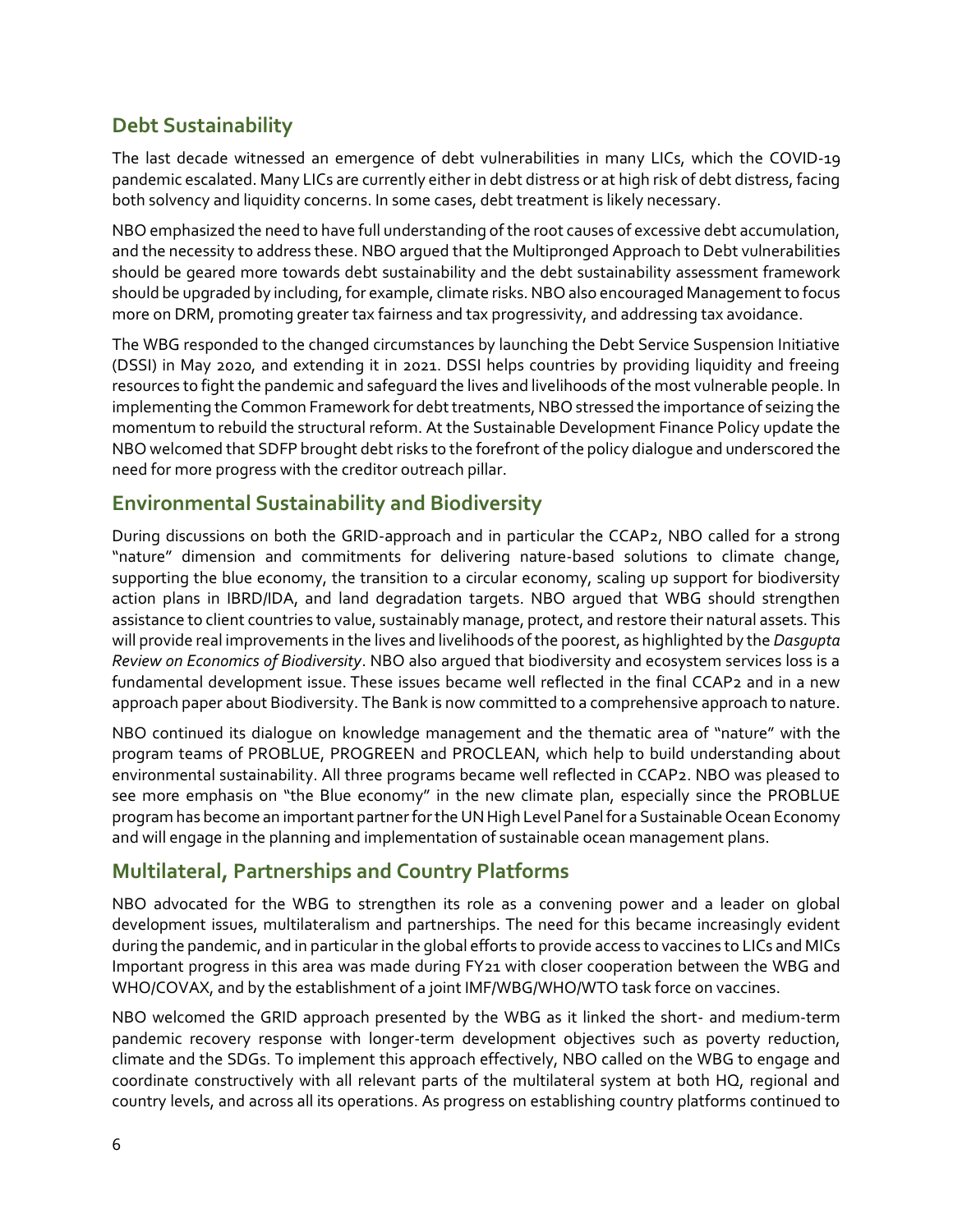#### <span id="page-8-0"></span>**Debt Sustainability**

The last decade witnessed an emergence of debt vulnerabilities in many LICs, which the COVID-19 pandemic escalated. Many LICs are currently either in debt distress or at high risk of debt distress, facing both solvency and liquidity concerns. In some cases, debt treatment is likely necessary.

NBO emphasized the need to have full understanding of the root causes of excessive debt accumulation, and the necessity to address these. NBO argued that the Multipronged Approach to Debt vulnerabilities should be geared more towards debt sustainability and the debt sustainability assessment framework should be upgraded by including, for example, climate risks. NBO also encouraged Management to focus more on DRM, promoting greater tax fairness and tax progressivity, and addressing tax avoidance.

The WBG responded to the changed circumstances by launching the Debt Service Suspension Initiative (DSSI) in May 2020, and extending it in 2021. DSSI helps countries by providing liquidity and freeing resources to fight the pandemic and safeguard the lives and livelihoods of the most vulnerable people. In implementing the Common Framework for debt treatments, NBO stressed the importance of seizing the momentum to rebuild the structural reform. At the Sustainable Development Finance Policy update the NBO welcomed that SDFP brought debt risks to the forefront of the policy dialogue and underscored the need for more progress with the creditor outreach pillar.

#### <span id="page-8-1"></span>**Environmental Sustainability and Biodiversity**

During discussions on both the GRID-approach and in particular the CCAP2, NBO called for a strong "nature" dimension and commitments for delivering nature-based solutions to climate change, supporting the blue economy, the transition to a circular economy, scaling up support for biodiversity action plans in IBRD/IDA, and land degradation targets. NBO argued that WBG should strengthen assistance to client countries to value, sustainably manage, protect, and restore their natural assets. This will provide real improvements in the lives and livelihoods of the poorest, as highlighted by the *Dasgupta Review on Economics of Biodiversity*. NBO also argued that biodiversity and ecosystem services loss is a fundamental development issue. These issues became well reflected in the final CCAP2 and in a new approach paper about Biodiversity. The Bank is now committed to a comprehensive approach to nature.

NBO continued its dialogue on knowledge management and the thematic area of "nature" with the program teams of PROBLUE, PROGREEN and PROCLEAN, which help to build understanding about environmental sustainability. All three programs became well reflected in CCAP2. NBO was pleased to see more emphasis on "the Blue economy" in the new climate plan, especially since the PROBLUE program has become an important partner for the UN High Level Panel for a Sustainable Ocean Economy and will engage in the planning and implementation of sustainable ocean management plans.

#### <span id="page-8-2"></span>**Multilateral, Partnerships and Country Platforms**

NBO advocated for the WBG to strengthen its role as a convening power and a leader on global development issues, multilateralism and partnerships. The need for this became increasingly evident during the pandemic, and in particular in the global efforts to provide access to vaccines to LICs and MICs Important progress in this area was made during FY21 with closer cooperation between the WBG and WHO/COVAX, and by the establishment of a joint IMF/WBG/WHO/WTO task force on vaccines.

NBO welcomed the GRID approach presented by the WBG as it linked the short- and medium-term pandemic recovery response with longer-term development objectives such as poverty reduction, climate and the SDGs. To implement this approach effectively, NBO called on the WBG to engage and coordinate constructively with all relevant parts of the multilateral system at both HQ, regional and country levels, and across all its operations. As progress on establishing country platforms continued to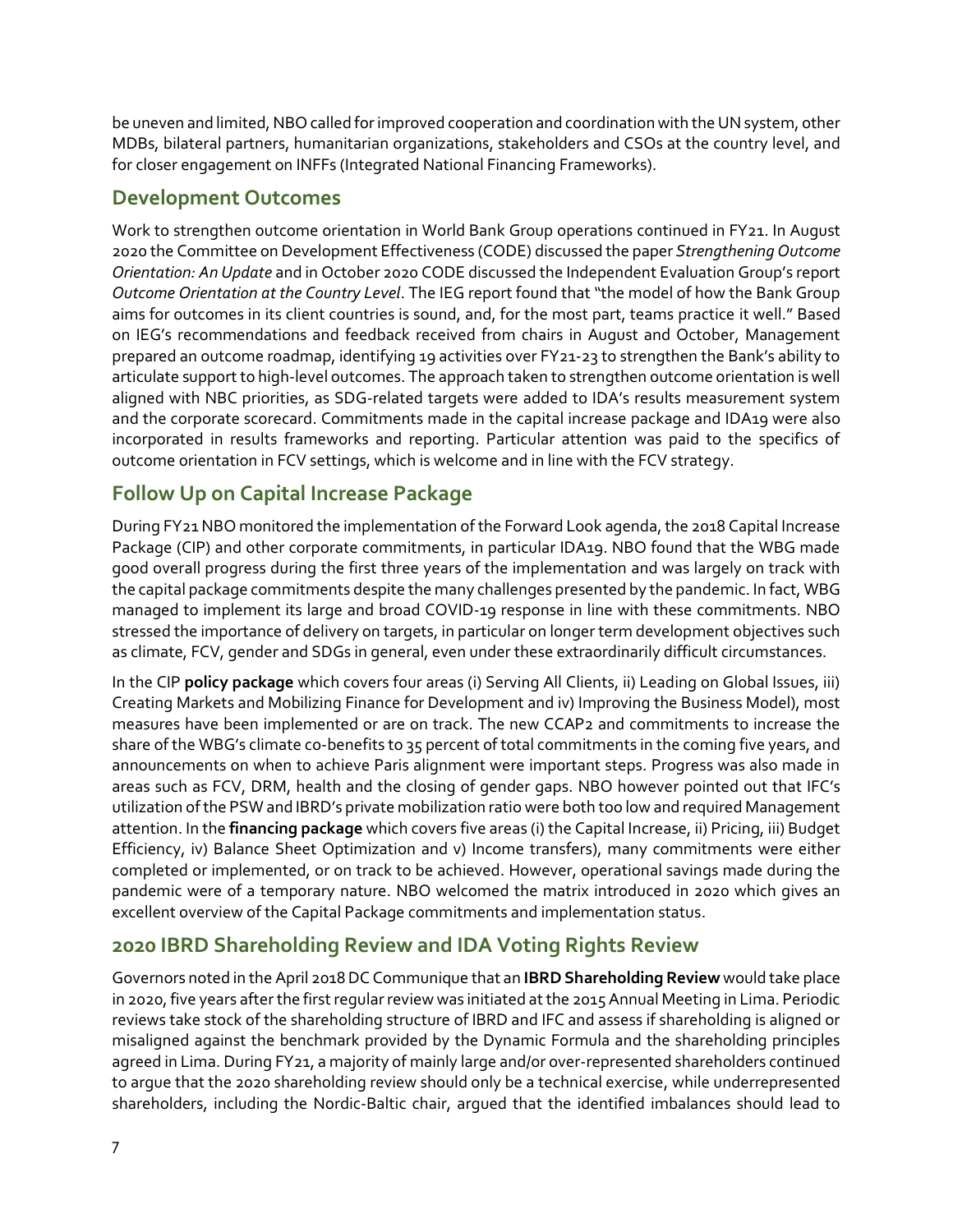be uneven and limited, NBO called for improved cooperation and coordination with the UN system, other MDBs, bilateral partners, humanitarian organizations, stakeholders and CSOs at the country level, and for closer engagement on INFFs (Integrated National Financing Frameworks).

#### <span id="page-9-0"></span>**Development Outcomes**

Work to strengthen outcome orientation in World Bank Group operations continued in FY21. In August 2020 the Committee on Development Effectiveness (CODE) discussed the paper *Strengthening Outcome Orientation: An Update* and in October 2020 CODE discussed the Independent Evaluation Group's report *Outcome Orientation at the Country Level*. The IEG report found that "the model of how the Bank Group aims for outcomes in its client countries is sound, and, for the most part, teams practice it well." Based on IEG's recommendations and feedback received from chairs in August and October, Management prepared an outcome roadmap, identifying 19 activities over FY21-23 to strengthen the Bank's ability to articulate support to high-level outcomes. The approach taken to strengthen outcome orientation is well aligned with NBC priorities, as SDG-related targets were added to IDA's results measurement system and the corporate scorecard. Commitments made in the capital increase package and IDA19 were also incorporated in results frameworks and reporting. Particular attention was paid to the specifics of outcome orientation in FCV settings, which is welcome and in line with the FCV strategy.

### <span id="page-9-1"></span>**Follow Up on Capital Increase Package**

During FY21 NBO monitored the implementation of the Forward Look agenda, the 2018 Capital Increase Package (CIP) and other corporate commitments, in particular IDA19. NBO found that the WBG made good overall progress during the first three years of the implementation and was largely on track with the capital package commitments despite the many challenges presented by the pandemic. In fact, WBG managed to implement its large and broad COVID-19 response in line with these commitments. NBO stressed the importance of delivery on targets, in particular on longer term development objectives such as climate, FCV, gender and SDGs in general, even under these extraordinarily difficult circumstances.

In the CIP **policy package** which covers four areas (i) Serving All Clients, ii) Leading on Global Issues, iii) Creating Markets and Mobilizing Finance for Development and iv) Improving the Business Model), most measures have been implemented or are on track. The new CCAP2 and commitments to increase the share of the WBG's climate co-benefits to 35 percent of total commitments in the coming five years, and announcements on when to achieve Paris alignment were important steps. Progress was also made in areas such as FCV, DRM, health and the closing of gender gaps. NBO however pointed out that IFC's utilization of the PSW and IBRD's private mobilization ratio were both too low and required Management attention. In the **financing package** which covers five areas (i) the Capital Increase, ii) Pricing, iii) Budget Efficiency, iv) Balance Sheet Optimization and v) Income transfers), many commitments were either completed or implemented, or on track to be achieved. However, operational savings made during the pandemic were of a temporary nature. NBO welcomed the matrix introduced in 2020 which gives an excellent overview of the Capital Package commitments and implementation status.

#### <span id="page-9-2"></span>**2020 IBRD Shareholding Review and IDA Voting Rights Review**

Governors noted in the April 2018 DC Communique that an **IBRDShareholding Review** would take place in 2020, five years after the first regular review was initiated at the 2015 Annual Meeting in Lima. Periodic reviews take stock of the shareholding structure of IBRD and IFC and assess if shareholding is aligned or misaligned against the benchmark provided by the Dynamic Formula and the shareholding principles agreed in Lima. During FY21, a majority of mainly large and/or over-represented shareholders continued to argue that the 2020 shareholding review should only be a technical exercise, while underrepresented shareholders, including the Nordic-Baltic chair, argued that the identified imbalances should lead to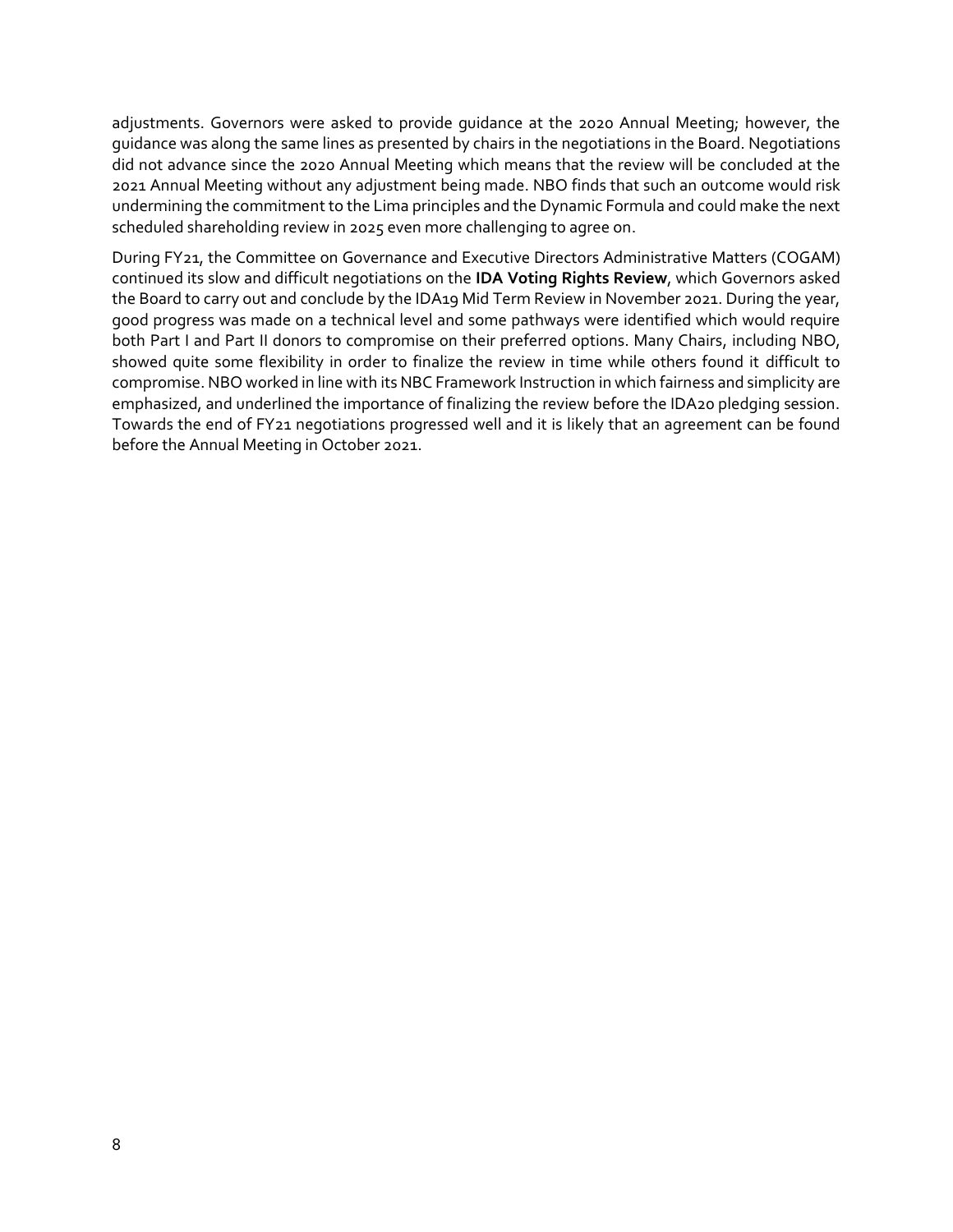adjustments. Governors were asked to provide guidance at the 2020 Annual Meeting; however, the guidance was along the same lines as presented by chairs in the negotiations in the Board. Negotiations did not advance since the 2020 Annual Meeting which means that the review will be concluded at the 2021 Annual Meeting without any adjustment being made. NBO finds that such an outcome would risk undermining the commitment to the Lima principles and the Dynamic Formula and could make the next scheduled shareholding review in 2025 even more challenging to agree on.

During FY21, the Committee on Governance and Executive Directors Administrative Matters (COGAM) continued its slow and difficult negotiations on the **IDA Voting Rights Review**, which Governors asked the Board to carry out and conclude by the IDA19 Mid Term Review in November 2021. During the year, good progress was made on a technical level and some pathways were identified which would require both Part I and Part II donors to compromise on their preferred options. Many Chairs, including NBO, showed quite some flexibility in order to finalize the review in time while others found it difficult to compromise. NBO worked in line with its NBC Framework Instruction in which fairness and simplicity are emphasized, and underlined the importance of finalizing the review before the IDA20 pledging session. Towards the end of FY21 negotiations progressed well and it is likely that an agreement can be found before the Annual Meeting in October 2021.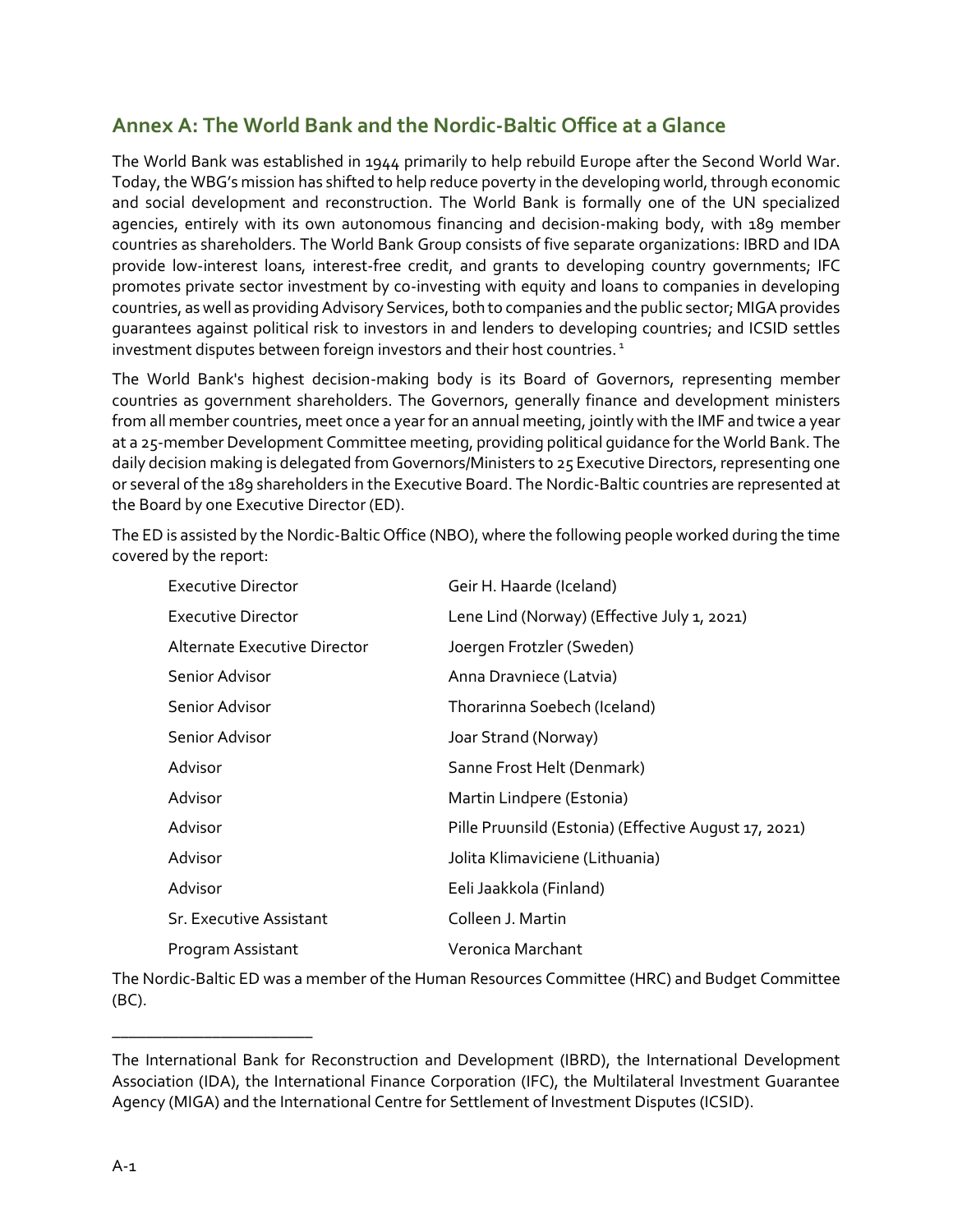#### <span id="page-11-0"></span>**Annex A: The World Bank and the Nordic-Baltic Office at a Glance**

The World Bank was established in 1944 primarily to help rebuild Europe after the Second World War. Today, the WBG's mission has shifted to help reduce poverty in the developing world, through economic and social development and reconstruction. The World Bank is formally one of the UN specialized agencies, entirely with its own autonomous financing and decision-making body, with 189 member countries as shareholders. The World Bank Group consists of five separate organizations: IBRD and IDA provide low-interest loans, interest-free credit, and grants to developing country governments; IFC promotes private sector investment by co-investing with equity and loans to companies in developing countries, as well as providing Advisory Services, both to companies and the public sector; MIGA provides guarantees against political risk to investors in and lenders to developing countries; and ICSID settles investment disputes between foreign investors and their host countries.<sup>1</sup>

The World Bank's highest decision-making body is its Board of Governors, representing member countries as government shareholders. The Governors, generally finance and development ministers from all member countries, meet once a year for an annual meeting, jointly with the IMF and twice a year at a 25-member Development Committee meeting, providing political guidance for the World Bank. The daily decision making is delegated from Governors/Ministers to 25 Executive Directors, representing one or several of the 189 shareholders in the Executive Board. The Nordic-Baltic countries are represented at the Board by one Executive Director (ED).

The ED is assisted by the Nordic-Baltic Office (NBO), where the following people worked during the time covered by the report:

| Executive Director             | Geir H. Haarde (Iceland)                              |
|--------------------------------|-------------------------------------------------------|
| <b>Executive Director</b>      | Lene Lind (Norway) (Effective July 1, 2021)           |
| Alternate Executive Director   | Joergen Frotzler (Sweden)                             |
| Senior Advisor                 | Anna Dravniece (Latvia)                               |
| Senior Advisor                 | Thorarinna Soebech (Iceland)                          |
| Senior Advisor                 | Joar Strand (Norway)                                  |
| Advisor                        | Sanne Frost Helt (Denmark)                            |
| Advisor                        | Martin Lindpere (Estonia)                             |
| Advisor                        | Pille Pruunsild (Estonia) (Effective August 17, 2021) |
| Advisor                        | Jolita Klimaviciene (Lithuania)                       |
| Advisor                        | Eeli Jaakkola (Finland)                               |
| <b>Sr. Executive Assistant</b> | Colleen J. Martin                                     |
| Program Assistant              | Veronica Marchant                                     |

The Nordic-Baltic ED was a member of the Human Resources Committee (HRC) and Budget Committee (BC).

\_\_\_\_\_\_\_\_\_\_\_\_\_\_\_\_\_\_\_\_\_\_\_\_

The International Bank for Reconstruction and Development (IBRD), the International Development Association (IDA), the International Finance Corporation (IFC), the Multilateral Investment Guarantee Agency (MIGA) and the International Centre for Settlement of Investment Disputes (ICSID).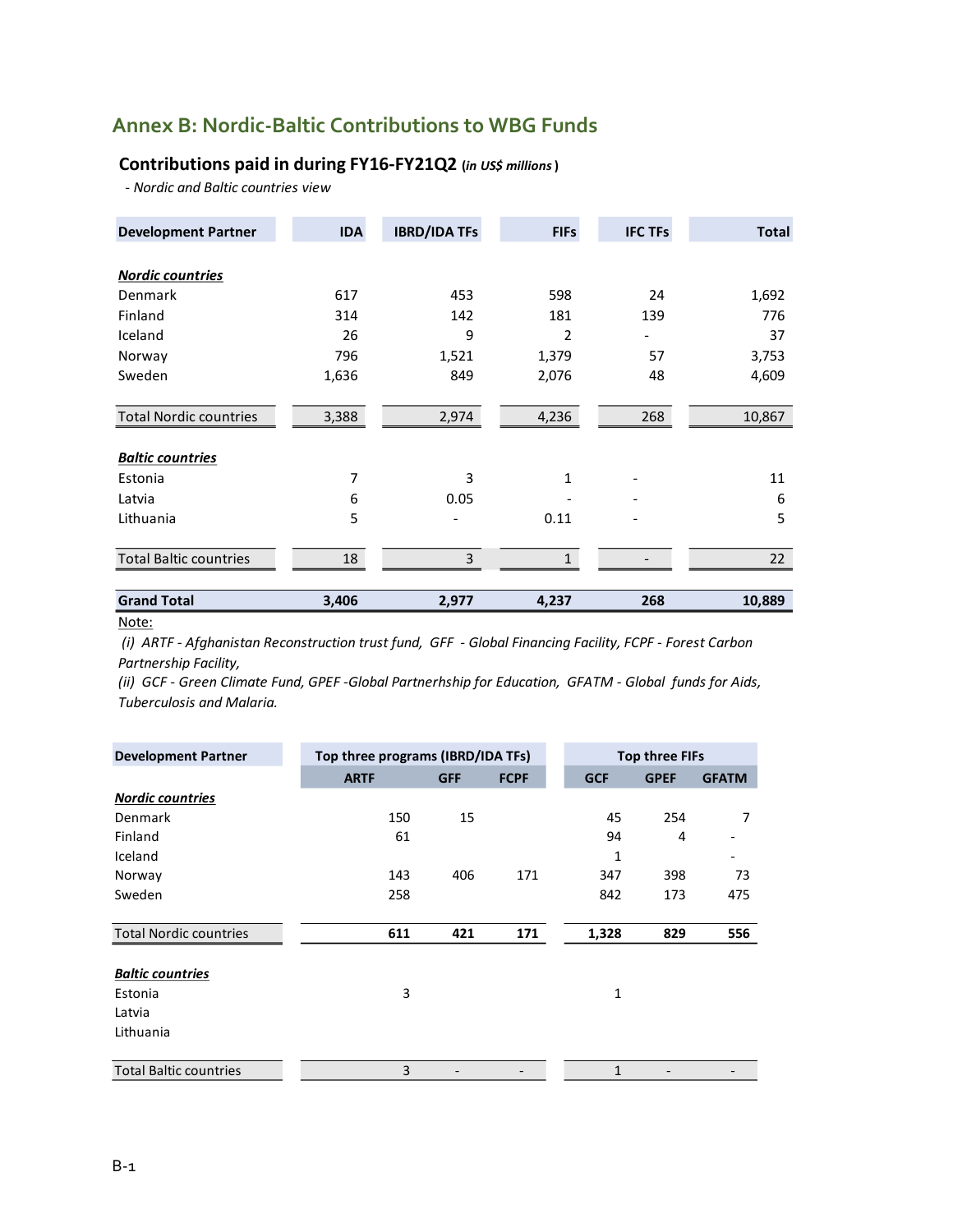#### <span id="page-12-0"></span>**Annex B: Nordic-Baltic Contributions to WBG Funds**

#### **Contributions paid in during FY16-FY21Q2 (***in US\$ millions***)**

 *- Nordic and Baltic countries view*

| <b>Development Partner</b>    | <b>IDA</b> | <b>IBRD/IDA TFs</b> | <b>FIFs</b>    | <b>IFC TFs</b>           | <b>Total</b> |
|-------------------------------|------------|---------------------|----------------|--------------------------|--------------|
| <b>Nordic countries</b>       |            |                     |                |                          |              |
| Denmark                       | 617        | 453                 | 598            | 24                       | 1,692        |
| Finland                       | 314        | 142                 | 181            | 139                      | 776          |
| Iceland                       | 26         | 9                   | $\overline{2}$ | $\overline{\phantom{0}}$ | 37           |
| Norway                        | 796        | 1,521               | 1,379          | 57                       | 3,753        |
| Sweden                        | 1,636      | 849                 | 2,076          | 48                       | 4,609        |
| <b>Total Nordic countries</b> | 3,388      | 2,974               | 4,236          | 268                      | 10,867       |
| <b>Baltic countries</b>       |            |                     |                |                          |              |
| Estonia                       | 7          | 3                   | 1              |                          | 11           |
| Latvia                        | 6          | 0.05                |                |                          | 6            |
| Lithuania                     | 5          |                     | 0.11           |                          | 5            |
| <b>Total Baltic countries</b> | 18         | 3                   | $\mathbf{1}$   |                          | 22           |
| <b>Grand Total</b>            | 3,406      | 2,977               | 4,237          | 268                      | 10,889       |

Note:

 *(i) ARTF - Afghanistan Reconstruction trust fund, GFF - Global Financing Facility, FCPF - Forest Carbon Partnership Facility,* 

*(ii) GCF - Green Climate Fund, GPEF -Global Partnerhship for Education, GFATM - Global funds for Aids, Tuberculosis and Malaria.*

| <b>Development Partner</b>    | Top three programs (IBRD/IDA TFs) |            |             | <b>Top three FIFs</b> |             |              |
|-------------------------------|-----------------------------------|------------|-------------|-----------------------|-------------|--------------|
|                               | <b>ARTF</b>                       | <b>GFF</b> | <b>FCPF</b> | <b>GCF</b>            | <b>GPEF</b> | <b>GFATM</b> |
| <b>Nordic countries</b>       |                                   |            |             |                       |             |              |
| Denmark                       | 150                               | 15         |             | 45                    | 254         | 7            |
| Finland                       | 61                                |            |             | 94                    | 4           |              |
| Iceland                       |                                   |            |             | 1                     |             |              |
| Norway                        | 143                               | 406        | 171         | 347                   | 398         | 73           |
| Sweden                        | 258                               |            |             | 842                   | 173         | 475          |
| <b>Total Nordic countries</b> | 611                               | 421        | 171         | 1,328                 | 829         | 556          |
| <b>Baltic countries</b>       |                                   |            |             |                       |             |              |
| Estonia                       | 3                                 |            |             | 1                     |             |              |
| Latvia                        |                                   |            |             |                       |             |              |
| Lithuania                     |                                   |            |             |                       |             |              |
| <b>Total Baltic countries</b> | 3                                 |            |             | $\mathbf{1}$          |             |              |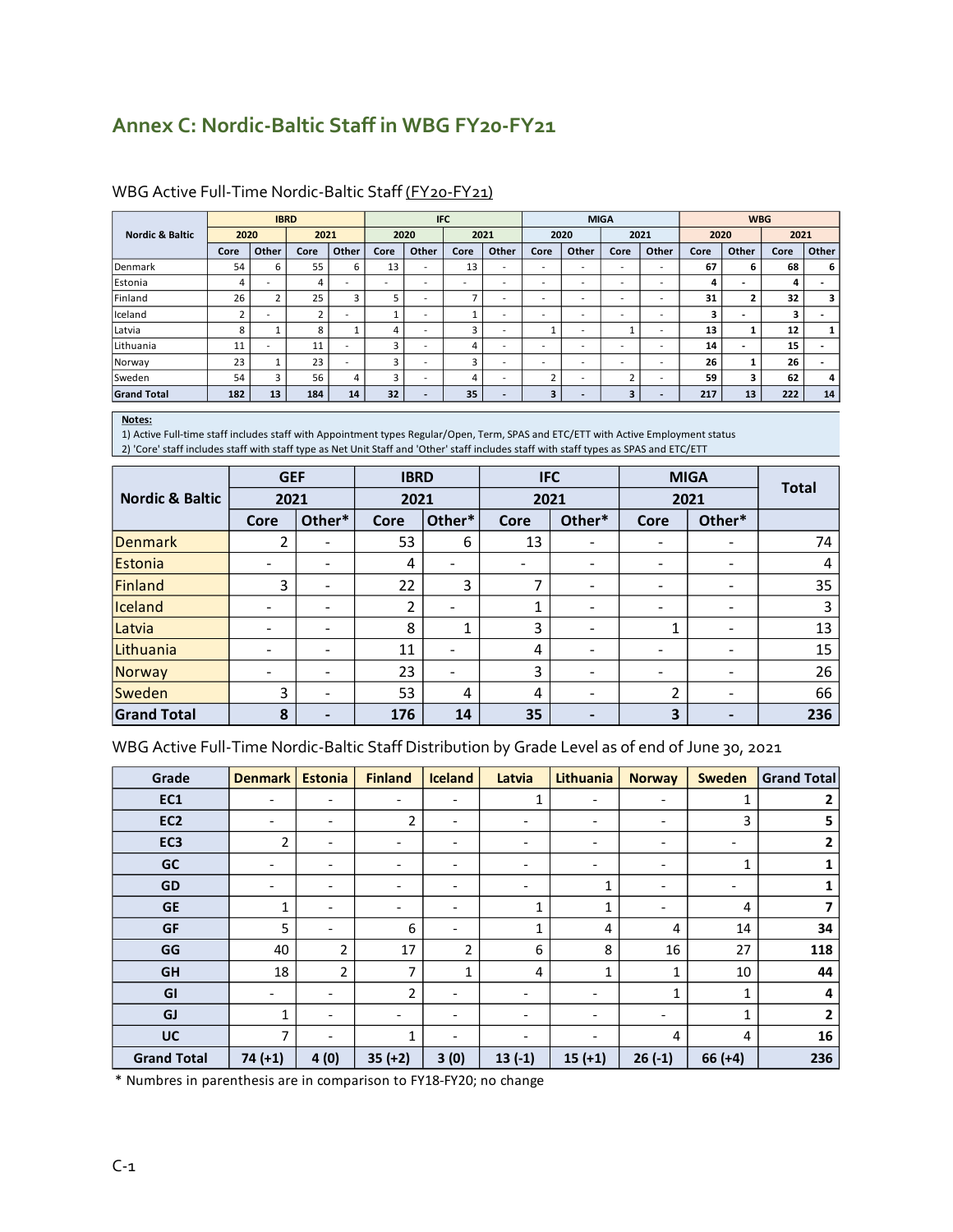## <span id="page-13-0"></span>**Annex C: Nordic-Baltic Staff in WBG FY20-FY21**

|                            |      | <b>IBRD</b>              |                |                          |                          | <b>IFC</b>               |      |                          | <b>MIGA</b>              |                          |                          | <b>WBG</b>               |      |       |      |          |
|----------------------------|------|--------------------------|----------------|--------------------------|--------------------------|--------------------------|------|--------------------------|--------------------------|--------------------------|--------------------------|--------------------------|------|-------|------|----------|
| <b>Nordic &amp; Baltic</b> | 2020 |                          | 2021           |                          |                          | 2020                     | 2021 |                          |                          | 2020                     | 2021                     |                          | 2020 |       | 2021 |          |
|                            | Core | Other                    | Core           | Other                    | Core                     | Other                    | Core | Other                    | Core                     | Other                    | Core                     | Other                    | Core | Other | Core | Other    |
| Denmark                    | 54   | 6                        | 55             | 6                        | 13                       | $\overline{\phantom{a}}$ | 13   | $\overline{\phantom{a}}$ | -                        | $\overline{\phantom{a}}$ | ٠                        | $\overline{\phantom{a}}$ | 67   | 6     | 68   | 6        |
| Estonia                    |      | $\overline{\phantom{a}}$ | 4              | $\overline{\phantom{0}}$ | $\overline{\phantom{a}}$ |                          | -    | ۰                        | -                        | -                        | $\overline{\phantom{0}}$ | $\overline{\phantom{0}}$ | 4    | $\,$  | 4    |          |
| Finland                    | 26   | 2                        | 25             | 3                        | כ                        |                          |      | -                        | ۰                        | -                        | ۰                        | $\overline{a}$           | 31   | 2     | 32   | 3        |
| Iceland                    |      | $\overline{\phantom{0}}$ | $\overline{ }$ | $\overline{\phantom{0}}$ |                          |                          |      | $\overline{\phantom{a}}$ | -                        | -                        | ۰                        | ٠                        | з    | $\,$  | 3    | <b>.</b> |
| Latvia                     | 8    |                          | 8              |                          | 4                        | -                        | 3    | ۰                        |                          | -                        |                          | ٠                        | 13   | 1     | 12   |          |
| Lithuania                  | 11   | -                        | 11             | $\sim$                   | 3                        | $\overline{\phantom{a}}$ | 4    | $\overline{\phantom{a}}$ | $\overline{\phantom{a}}$ | $\overline{\phantom{a}}$ | ۰                        | $\overline{\phantom{a}}$ | 14   | $\,$  | 15   |          |
| Norway                     | 23   |                          | 23             | $\sim$                   | 3                        | $\overline{\phantom{a}}$ | 3    | $\overline{\phantom{a}}$ | $\overline{\phantom{a}}$ | $\overline{\phantom{a}}$ | ۰                        | $\overline{\phantom{a}}$ | 26   | 1     | 26   |          |
| Sweden                     | 54   | 3                        | 56             | 4                        | 3                        | $\overline{\phantom{a}}$ | 4    | -                        | h                        | $\overline{\phantom{0}}$ | $\mathbf{\hat{z}}$       | $\overline{\phantom{a}}$ | 59   | 3     | 62   | 4        |
| <b>Grand Total</b>         | 182  | 13                       | 184            | 14                       | 32                       | $\overline{a}$           | 35   | ٠                        | 3                        | $\overline{\phantom{0}}$ | 3                        | $\overline{\phantom{0}}$ | 217  | 13    | 222  | 14       |

#### WBG Active Full-Time Nordic-Baltic Staff (FY20-FY21)

#### **Notes:**

1) Active Full-time staff includes staff with Appointment types Regular/Open, Term, SPAS and ETC/ETT with Active Employment status 2) 'Core' staff includes staff with staff type as Net Unit Staff and 'Other' staff includes staff with staff types as SPAS and ETC/ETT

|                            | <b>GEF</b> |                          | <b>IBRD</b> |                          | <b>IFC</b> |                          |                          | <b>MIGA</b>              | <b>Total</b> |
|----------------------------|------------|--------------------------|-------------|--------------------------|------------|--------------------------|--------------------------|--------------------------|--------------|
| <b>Nordic &amp; Baltic</b> | 2021       |                          | 2021        |                          | 2021       |                          | 2021                     |                          |              |
|                            | Core       | Other*                   | Core        | Other*                   | Core       | Other*                   | Core                     | Other*                   |              |
| <b>Denmark</b>             | 2          |                          | 53          | 6                        | 13         | $\overline{\phantom{a}}$ | $\overline{\phantom{a}}$ | $\overline{\phantom{a}}$ | 74           |
| Estonia                    | -          | -                        | 4           | -                        | -          | $\overline{\phantom{0}}$ | $\overline{\phantom{a}}$ | $\overline{\phantom{a}}$ | 4            |
| Finland                    | 3          |                          | 22          | 3                        |            | $\overline{\phantom{0}}$ | $\overline{\phantom{a}}$ | $\overline{\phantom{a}}$ | 35           |
| Iceland                    | -          | ۰                        | 2           | $\overline{\phantom{a}}$ |            | $\overline{\phantom{0}}$ | -                        | $\overline{\phantom{a}}$ | 3            |
| Latvia                     | -          | ۰                        | 8           | 1                        | 3          | $\overline{\phantom{a}}$ | 1                        | $\overline{\phantom{a}}$ | 13           |
| Lithuania                  | -          | -                        | 11          | $\overline{\phantom{a}}$ | 4          | $\overline{\phantom{a}}$ | -                        | $\overline{\phantom{a}}$ | 15           |
| Norway                     | -          | -                        | 23          | $\overline{\phantom{a}}$ | 3          | $\overline{\phantom{a}}$ | -                        | $\overline{\phantom{a}}$ | 26           |
| <b>Sweden</b>              | 3          | ٠                        | 53          | 4                        | 4          | $\overline{\phantom{a}}$ | 2                        | $\overline{\phantom{a}}$ | 66           |
| <b>Grand Total</b>         | 8          | $\overline{\phantom{0}}$ | 176         | 14                       | 35         | -                        | 3                        | -                        | 236          |

#### WBG Active Full-Time Nordic-Baltic Staff Distribution by Grade Level as of end of June 30, 2021

| Grade              | <b>Denmark</b>           | <b>Estonia</b>               | <b>Finland</b>               | <b>Iceland</b>           | Latvia                   | Lithuania                | <b>Norway</b>                | <b>Sweden</b>            | <b>Grand Total</b> |
|--------------------|--------------------------|------------------------------|------------------------------|--------------------------|--------------------------|--------------------------|------------------------------|--------------------------|--------------------|
| EC1                | $\overline{\phantom{a}}$ | $\overline{\phantom{a}}$     | $\overline{\phantom{a}}$     | $\overline{\phantom{a}}$ | 1                        | $\overline{\phantom{a}}$ | $\overline{\phantom{a}}$     | $\mathbf{1}$             | 2                  |
| EC <sub>2</sub>    | $\overline{\phantom{a}}$ | $\qquad \qquad \blacksquare$ | 2                            | $\overline{\phantom{0}}$ | $\overline{\phantom{a}}$ | $\overline{\phantom{0}}$ | $\overline{\phantom{a}}$     | 3                        | 5                  |
| EC <sub>3</sub>    | 2                        | $\overline{\phantom{a}}$     | -                            | $\overline{\phantom{a}}$ | $\overline{\phantom{a}}$ | $\overline{\phantom{a}}$ | $\overline{\phantom{a}}$     | $\overline{\phantom{0}}$ | $\overline{2}$     |
| <b>GC</b>          | $\overline{\phantom{a}}$ | $\overline{\phantom{a}}$     | $\qquad \qquad \blacksquare$ | $\overline{\phantom{a}}$ | $\overline{\phantom{a}}$ | $\overline{\phantom{a}}$ | $\overline{\phantom{a}}$     | 1                        | 1                  |
| <b>GD</b>          | $\overline{\phantom{a}}$ | $\overline{\phantom{0}}$     | $\qquad \qquad \blacksquare$ | $\overline{\phantom{0}}$ | $\overline{\phantom{a}}$ |                          | $\qquad \qquad \blacksquare$ | $\overline{\phantom{a}}$ |                    |
| <b>GE</b>          | 1                        | $\overline{\phantom{a}}$     | -                            | $\overline{\phantom{a}}$ | 1                        | 1                        | $\overline{\phantom{a}}$     | 4                        |                    |
| <b>GF</b>          | 5                        | $\overline{\phantom{0}}$     | 6                            | -                        | 1                        | 4                        | 4                            | 14                       | 34                 |
| GG                 | 40                       | 2                            | 17                           | $\overline{2}$           | 6                        | 8                        | 16                           | 27                       | 118                |
| <b>GH</b>          | 18                       | $\overline{2}$               | $\overline{7}$               | 1                        | 4                        | 1                        | 1                            | 10                       | 44                 |
| GI                 | $\overline{\phantom{a}}$ | -                            | $\overline{2}$               | -                        | $\overline{\phantom{a}}$ | $\overline{\phantom{0}}$ | 1                            | 1                        | 4                  |
| <b>GJ</b>          | 1                        | $\overline{\phantom{a}}$     | -                            | $\overline{\phantom{a}}$ | $\overline{\phantom{a}}$ | $\overline{\phantom{a}}$ | $\overline{\phantom{a}}$     | 1                        | $\overline{2}$     |
| UC                 | 7                        | $\overline{\phantom{a}}$     | 1                            | $\overline{\phantom{a}}$ | $\overline{\phantom{a}}$ | $\overline{\phantom{a}}$ | 4                            | 4                        | 16                 |
| <b>Grand Total</b> | $74 (+1)$                | 4(0)                         | $35 (+2)$                    | 3(0)                     | $13(-1)$                 | $15 (+1)$                | $26(-1)$                     | $66 (+4)$                | 236                |

\* Numbres in parenthesis are in comparison to FY18-FY20; no change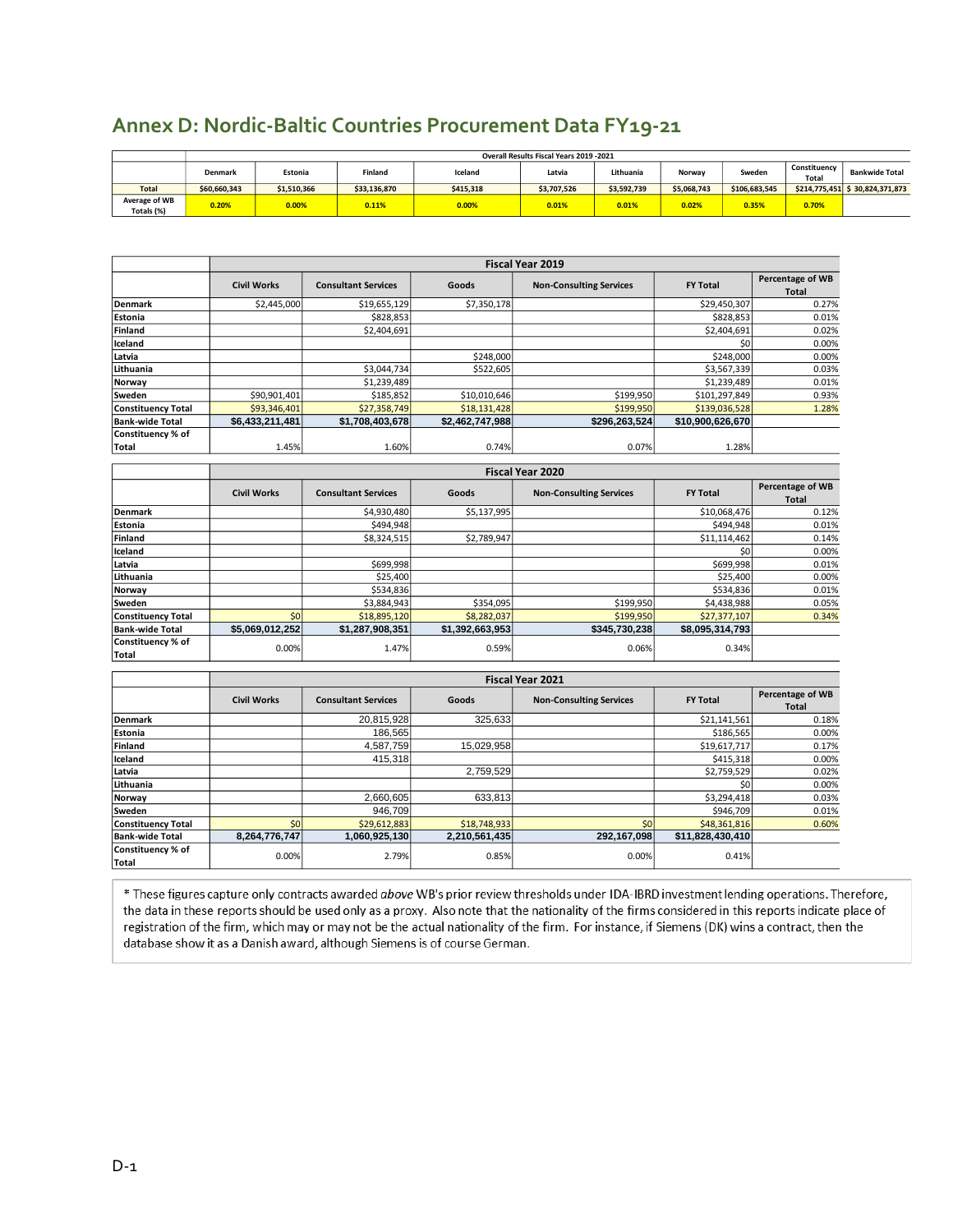|                             | Overall Results Fiscal Years 2019 - 2021 |             |              |           |             |             |             |               |                       |                                  |
|-----------------------------|------------------------------------------|-------------|--------------|-----------|-------------|-------------|-------------|---------------|-----------------------|----------------------------------|
|                             | Denmark                                  | Estonia     | Finland      | Iceland   | Latvia      | Lithuania   | Norway      | Sweden        | Constituency<br>Total | <b>Bankwide Total</b>            |
| <b>Total</b>                | \$60.660.343                             | \$1.510.366 | \$33,136,870 | \$415.318 | \$3,707,526 | \$3,592,739 | \$5,068,743 | \$106,683,545 |                       | $$214,775,451$ $$30,824,371,873$ |
| Average of WB<br>Totals (%) | 0.20%                                    | 0.00%       | 0.11%        | 0.00%     | 0.01%       | 0.01%       | 0.02%       | 0.35%         | 0.70%                 |                                  |

**Civil Works Consultant Services Goods Non-Consulting Services FY Total Percentage of WB** 

**Fiscal Year 2019**

**Total**

#### <span id="page-14-0"></span>**Annex D: Nordic-Baltic Countries Procurement Data FY19-21**

| Estonia                   |                    | \$828,853                  |                 |                                | \$828,853        | 0.01%                     |
|---------------------------|--------------------|----------------------------|-----------------|--------------------------------|------------------|---------------------------|
| Finland                   |                    | \$2,404,691                |                 |                                | \$2,404,691      | 0.02%                     |
| Iceland                   |                    |                            |                 |                                | \$0              | 0.00%                     |
| Latvia                    |                    |                            | \$248,000       |                                | \$248,000        | 0.00%                     |
| Lithuania                 |                    | \$3,044,734                | \$522,605       |                                | \$3,567,339      | 0.03%                     |
| Norway                    |                    | \$1,239,489                |                 |                                | \$1,239,489      | 0.01%                     |
| Sweden                    | \$90,901,401       | \$185,852                  | \$10,010,646    | \$199,950                      | \$101,297,849    | 0.93%                     |
| <b>Constituency Total</b> | \$93,346,401       | \$27,358,749               | \$18,131,428    | \$199,950                      | \$139,036,528    | 1.28%                     |
| <b>Bank-wide Total</b>    | \$6,433,211,481    | \$1,708,403,678            | \$2,462,747,988 | \$296,263,524                  | \$10,900,626,670 |                           |
| Constituency % of         |                    |                            |                 |                                |                  |                           |
| Total                     | 1.45%              | 1.60%                      | 0.74%           | 0.07%                          | 1.28%            |                           |
|                           |                    |                            |                 | Fiscal Year 2020               |                  |                           |
|                           |                    |                            |                 |                                |                  |                           |
|                           | <b>Civil Works</b> | <b>Consultant Services</b> | Goods           | <b>Non-Consulting Services</b> | <b>FY Total</b>  | Percentage of WB<br>Total |
| <b>Denmark</b>            |                    | \$4,930,480                | \$5,137,995     |                                | \$10,068,476     | 0.12%                     |
| Estonia                   |                    | \$494,948                  |                 |                                | \$494,948        | 0.01%                     |
| Finland                   |                    | \$8,324,515                | \$2,789,947     |                                | \$11,114,462     | 0.14%                     |
| Iceland                   |                    |                            |                 |                                | \$0              | 0.00%                     |
| Latvia                    |                    | \$699,998                  |                 |                                | \$699,998        | 0.01%                     |
| <b>Il teleccente</b>      |                    | 625.000                    |                 |                                | 625.00           | 0.009                     |

**Denmark** \$2,445,000 \$19,655,129 \$7,350,178 \$29,450,307 0.27%

| Lithuania                 |                 | \$25,400        |                 |               | \$25,400        | 0.00% |
|---------------------------|-----------------|-----------------|-----------------|---------------|-----------------|-------|
| Norway                    |                 | \$534,836       |                 |               | \$534,836       | 0.01% |
| Sweden                    |                 | \$3.884.943     | \$354.095       | \$199.950     | \$4,438,988     | 0.05% |
| <b>Constituency Total</b> |                 | \$18,895,120    | \$8,282,037     | \$199,950     | \$27,377,107    | 0.34% |
| <b>Bank-wide Total</b>    | \$5.069.012.252 | \$1,287,908,351 | \$1.392.663.953 | \$345.730.238 | \$8.095.314.793 |       |
| Constituency % of         |                 |                 |                 |               |                 |       |
| Total                     | $0.00\%$        | 1.47%           | 0.59%           | 0.06%         | 0.34%           |       |

|                                   |                    |                            |               | <b>Fiscal Year 2021</b>        |                  |                                  |
|-----------------------------------|--------------------|----------------------------|---------------|--------------------------------|------------------|----------------------------------|
|                                   | <b>Civil Works</b> | <b>Consultant Services</b> | Goods         | <b>Non-Consulting Services</b> | <b>FY Total</b>  | <b>Percentage of WB</b><br>Total |
| <b>Denmark</b>                    |                    | 20,815,928                 | 325,633       |                                | \$21,141,561     | 0.18%                            |
| <b>Estonia</b>                    |                    | 186,565                    |               |                                | \$186,565        | 0.00%                            |
| Finland                           |                    | 4,587,759                  | 15,029,958    |                                | \$19,617,717     | 0.17%                            |
| Iceland                           |                    | 415,318                    |               |                                | \$415,318        | 0.00%                            |
| Latvia                            |                    |                            | 2,759,529     |                                | \$2,759,529      | 0.02%                            |
| Lithuania                         |                    |                            |               |                                | \$0              | 0.00%                            |
| Norway                            |                    | 2,660,605                  | 633,813       |                                | \$3,294,418      | 0.03%                            |
| Sweden                            |                    | 946,709                    |               |                                | \$946,709        | 0.01%                            |
| <b>Constituency Total</b>         | \$0 <sub>1</sub>   | \$29,612,883               | \$18,748,933  | \$0                            | \$48,361,816     | 0.60%                            |
| <b>Bank-wide Total</b>            | 8.264.776.747      | 1,060,925,130              | 2,210,561,435 | 292.167.098                    | \$11,828,430,410 |                                  |
| Constituency % of<br><b>Total</b> | 0.00%              | 2.79%                      | 0.85%         | 0.00%                          | 0.41%            |                                  |

\* These figures capture only contracts awarded above WB's prior review thresholds under IDA-IBRD investment lending operations. Therefore, the data in these reports should be used only as a proxy. Also note that the nationality of the firms considered in this reports indicate place of registration of the firm, which may or may not be the actual nationality of the firm. For instance, if Siemens (DK) wins a contract, then the database show it as a Danish award, although Siemens is of course German.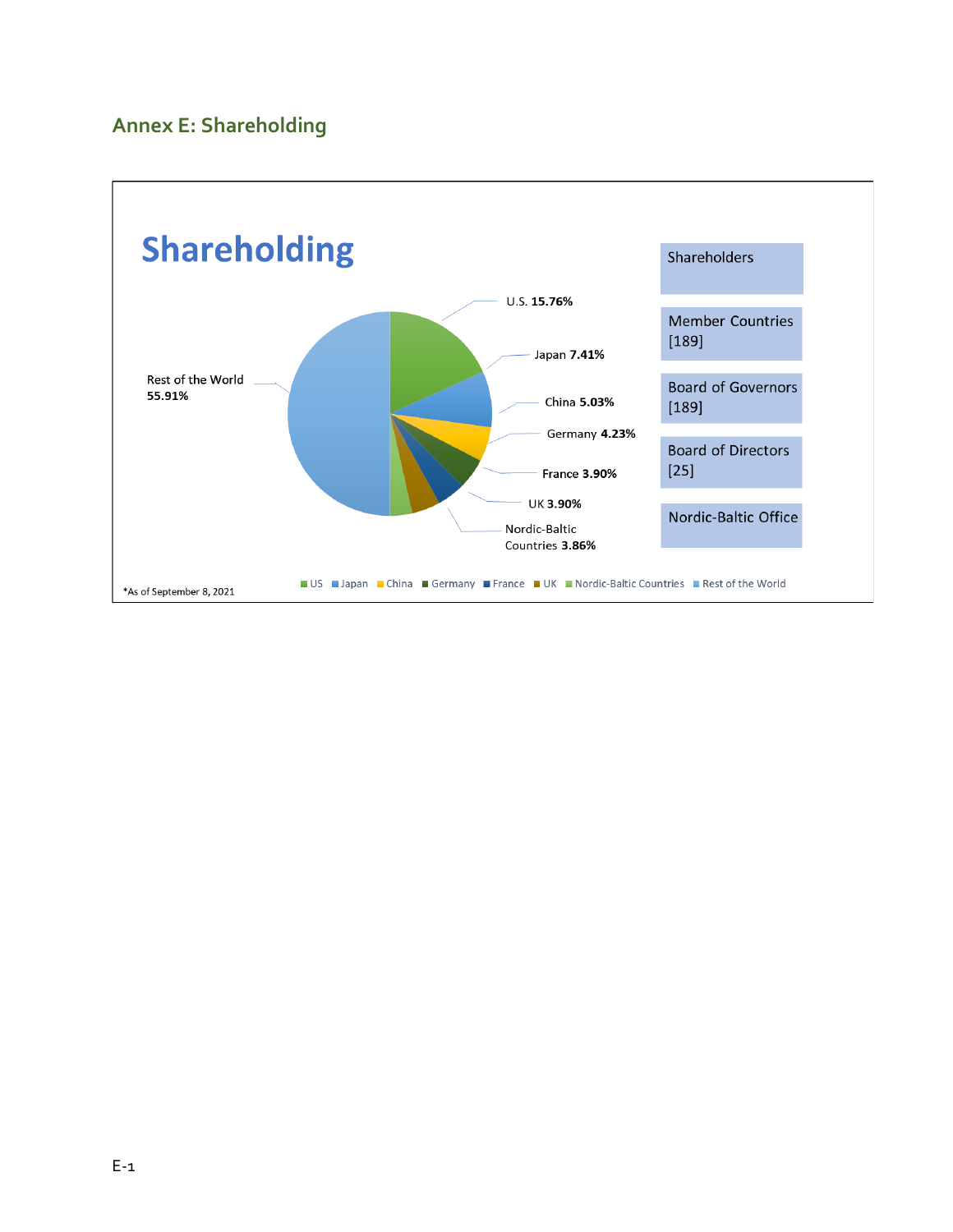## <span id="page-15-0"></span>**Annex E: Shareholding**